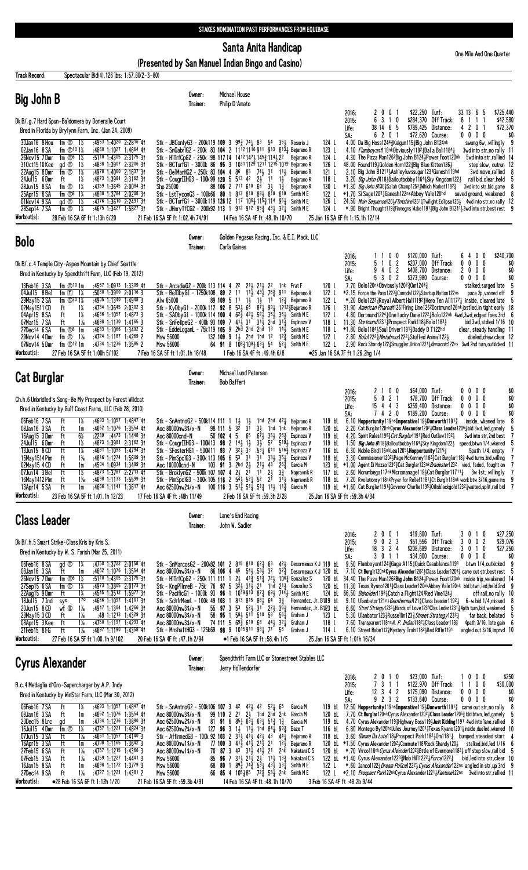## Santa Anita Handicap

(Presented by San Manuel Indian Bingo and Casino)

| <b>Track Record:</b>                                                                                                                                                                       |                                                                                                                                                                                                                                                                                                                                                                                          | Spectacular Bid(4), 126 lbs; 1:57.80(2-3-80)                                                                                                                                                                                                                                                |                                                                                                                                                                                                                                                                                                                                                                                                                                                                                                                                                                                                                                                                                                                                                                                                                   |                                                                                                                                                                                                                                                                                                                                                                                                                                                                                                                                                                                                                                                                     |                                 |                                                                                                                                                                                                                                             |                                                                                                                            |                                |                                                                                                                                                                                                                                                                                                                                                                                                                                                                                                                                                                                                                                                                                                                                                                                                                                                                                                                                                                                                                                                                   |                                                                                     |                     |                                                                                     |                                                                                                                                                                                       |
|--------------------------------------------------------------------------------------------------------------------------------------------------------------------------------------------|------------------------------------------------------------------------------------------------------------------------------------------------------------------------------------------------------------------------------------------------------------------------------------------------------------------------------------------------------------------------------------------|---------------------------------------------------------------------------------------------------------------------------------------------------------------------------------------------------------------------------------------------------------------------------------------------|-------------------------------------------------------------------------------------------------------------------------------------------------------------------------------------------------------------------------------------------------------------------------------------------------------------------------------------------------------------------------------------------------------------------------------------------------------------------------------------------------------------------------------------------------------------------------------------------------------------------------------------------------------------------------------------------------------------------------------------------------------------------------------------------------------------------|---------------------------------------------------------------------------------------------------------------------------------------------------------------------------------------------------------------------------------------------------------------------------------------------------------------------------------------------------------------------------------------------------------------------------------------------------------------------------------------------------------------------------------------------------------------------------------------------------------------------------------------------------------------------|---------------------------------|---------------------------------------------------------------------------------------------------------------------------------------------------------------------------------------------------------------------------------------------|----------------------------------------------------------------------------------------------------------------------------|--------------------------------|-------------------------------------------------------------------------------------------------------------------------------------------------------------------------------------------------------------------------------------------------------------------------------------------------------------------------------------------------------------------------------------------------------------------------------------------------------------------------------------------------------------------------------------------------------------------------------------------------------------------------------------------------------------------------------------------------------------------------------------------------------------------------------------------------------------------------------------------------------------------------------------------------------------------------------------------------------------------------------------------------------------------------------------------------------------------|-------------------------------------------------------------------------------------|---------------------|-------------------------------------------------------------------------------------|---------------------------------------------------------------------------------------------------------------------------------------------------------------------------------------|
| <b>Big John B</b>                                                                                                                                                                          |                                                                                                                                                                                                                                                                                                                                                                                          |                                                                                                                                                                                                                                                                                             | Owner:<br>Trainer:                                                                                                                                                                                                                                                                                                                                                                                                                                                                                                                                                                                                                                                                                                                                                                                                | Michael House<br>Philip D'Amato                                                                                                                                                                                                                                                                                                                                                                                                                                                                                                                                                                                                                                     |                                 |                                                                                                                                                                                                                                             |                                                                                                                            | 2016:                          | 2 0 0 1                                                                                                                                                                                                                                                                                                                                                                                                                                                                                                                                                                                                                                                                                                                                                                                                                                                                                                                                                                                                                                                           | \$22,250 Turf:                                                                      |                     | 33 13 6<br>-5                                                                       | \$725,440                                                                                                                                                                             |
|                                                                                                                                                                                            | Dk B/.g.7 Hard Spun-Baldomera by Doneraile Court<br>Bred in Florida by Brylynn Farm, Inc. (Jan 24, 2009)                                                                                                                                                                                                                                                                                 |                                                                                                                                                                                                                                                                                             |                                                                                                                                                                                                                                                                                                                                                                                                                                                                                                                                                                                                                                                                                                                                                                                                                   |                                                                                                                                                                                                                                                                                                                                                                                                                                                                                                                                                                                                                                                                     |                                 |                                                                                                                                                                                                                                             |                                                                                                                            | 2015:<br>Life:<br>SA:          | 6 3 1 0<br>38 14 6 5<br>6 2 0 1                                                                                                                                                                                                                                                                                                                                                                                                                                                                                                                                                                                                                                                                                                                                                                                                                                                                                                                                                                                                                                   | \$284,370 Off Track:<br>\$789,425 Distance:<br>\$72,620 Course:                     |                     | 8 1 1 1<br>4201<br>$0\ 0\ 0\ 0$                                                     | \$42,580<br>\$72,370<br>\$0                                                                                                                                                           |
| 30Jan16 8 Hou<br>02Jan16 8 SA<br>26Nov15 7Dmr<br>310ct1510Kee<br>22Aug15 8Dmr<br>24Jul15 6Dmr<br>28Jun15 8 SA<br>25Apr15 8 SA<br>01Nov14 9 SA<br>28Sep14 7 SA<br>Workout(s):               | fm $\overline{O}$ 1½<br>fm $\oplus$ 10 1%<br>fm $\Phi$ <sup>6</sup> 1 <sup>%</sup><br>gd <sup>1/2</sup><br>fm ①<br>1%<br>1½<br>ft<br>$1\%$<br>fm ①<br>fm $\mathbb{O}^8$ 1%<br>gd <sup>T</sup><br>- 1½<br>fm $\overline{O}$ 1%<br>28 Feb 16 SA 6F ft 1:13h 6/20                                                                                                                           | :4953 1:4020 2:2816 41<br>$:4660$ 1:10 <sup>27</sup> 1:4664 41<br>$:51^{10}$ 1:4305 2:3175 31<br>:4838 1:3907 2:3206 31<br>$:4978$ 1:4060 2:1637 31<br>:4873 1:3981 2:3162 31<br>$:4759$ 1:3645 2:0084 31<br>$:4830$ 1:3784 2:0208 31<br>$:4776$ 1:3610 2:2491 31<br>:4675 1:3427 1:5827 31 | Stk - JBConlyG3 - 200k119 109 3 $99\frac{3}{4}$ 74 $\frac{1}{4}$ 8 <sup>3</sup> 54 3 <sup>51</sup> Rosario J<br>Stk - SnGabrlG2 - 200k 83 104 2 11 <sup>12</sup> 11 <sup>16</sup> 911 913 813 <sup>1</sup> Bejarano R<br>Stk - HITrfCpG2 - 250k 98 117 14 1412 1473 1453 1143 22<br>Stk - BCTurfG1 - 3000k 86 95 3 10311129 1211 1215 1019 Bejarano R<br>Stk - DelMarHG2 - 250k 83 104 4 86 85 74 31 11 1<br>Stk - CougrIIHG3 - 100k 99 120 5 513 42 21 11 11<br>Shp 25000 88 106 2 711 610 66 31 13<br>Stk - LstTyconG3 - 100k66 80 1 813 810 881 810 819<br>Stk - BCTurfG1 - 3000k119 126 12 117 106 $\frac{1}{4}$ 11 <sup>5</sup> $\frac{3}{4}$ 114 9 <sup>5</sup> $\frac{1}{4}$<br>Stk - JHnryTfCG2 - 200k92 113 1 912 912 95 $\frac{3}{4}$ 433 32 $\frac{7}{4}$ Smith ME<br>21 Feb 16 SA 5F ft 1:02.4h 74/91 |                                                                                                                                                                                                                                                                                                                                                                                                                                                                                                                                                                                                                                                                     | 14 Feb 16 SA 4F ft: 48.1h 10/70 | Bejarano R<br>Bejarano R<br>Bejarano R<br>Bejarano R<br>Smith ME<br>Smith M E                                                                                                                                                               | 124 L<br>123 L<br>124 L<br>126 L<br>121 L<br>118 L<br>130 L<br>122 L<br>126 L<br>124 L<br>25 Jan 16 SA 6F ft 1:15.1h 12/14 |                                | 4.00 Da Big Hoss12443 Kaigun1153 Big John B124nk<br>4.10 <i>Flamboyant</i> 18 <sup>nk</sup> Obviously 118 <sup>2</sup> <sub>1</sub> Bal a Bali 118 <sup>4</sup> 1<br>4.30 The Pizza Man1262Big John B1243 Power Foot120nk<br>48.00 Found119}Golden Horn122}Big Blue Kitten126}<br>2.10 Big John B1211}Ashleyluvssugar1231Ganesh119hd<br>3.20 <i>Big John B</i> 1184 Bailout bobby 1164 <sup>1</sup> Sky Kingdom 1224<br>$*1.30$ <i>Big John B</i> 130 $3$ Salah Champ125 <sup>3</sup> $3$ Which Market118 <sup>2</sup> $3/3$<br>*1.70 Si Sage12031Ganesh122nsAbbey Vale120hd<br>24.50 Main Sequence1263 Flintshire1261 1 Twilight Eclipse1263 4wd into str, no rally 12<br>*.90 Bright Thought1193Finnegns Wake11913Big John B12413 3wd into str, best rest 9                                                                                                                                                                                                                                                                                                     |                                                                                     |                     | 3wd into str,bid,game                                                               | swung 6w, willingly<br>9<br>3wd into str, no rally 11<br>5wd into str, rallied 14<br>step slow, outrun 12<br>3wd move,rallied<br>8<br>rail bid,clear,held<br>saved ground, weakened 8 |
| Bolo                                                                                                                                                                                       |                                                                                                                                                                                                                                                                                                                                                                                          |                                                                                                                                                                                                                                                                                             | Owner:<br>Trainer:                                                                                                                                                                                                                                                                                                                                                                                                                                                                                                                                                                                                                                                                                                                                                                                                | Carla Gaines                                                                                                                                                                                                                                                                                                                                                                                                                                                                                                                                                                                                                                                        |                                 | Golden Pegasus Racing, Inc. & E.I. Mack, LLC                                                                                                                                                                                                |                                                                                                                            |                                |                                                                                                                                                                                                                                                                                                                                                                                                                                                                                                                                                                                                                                                                                                                                                                                                                                                                                                                                                                                                                                                                   |                                                                                     |                     |                                                                                     |                                                                                                                                                                                       |
| 13Feb16 3 SA<br>04Jul15 8Bel<br>29May15 2 SA<br>02May1511 CD<br>04Apr15 8 SA<br>07Mar15 7 SA<br>27Dec14 6 SA<br>29Nov14 4Dmr<br>07Nov14 5Dmr<br>Workout(s):                                | Dk B/.c.4 Temple City-Aspen Mountain by Chief Seattle<br>Bred in Kentucky by Spendthrift Farm, LLC (Feb 19, 2012)<br>fm $\mathbb{O}^{10}$ 1m<br>$f$ m $\boxed{T}$<br>1.4<br>fm $\Phi$ <sup>30</sup> 1 <sup>%</sup><br>$1\%$<br>ft<br>$1\%$<br>ft<br>$1\%$<br>ft<br>fm $\mathbb{O}^8$ 1m<br>fm $\overline{O}$ 1 <sup>%</sup><br>fm $\mathbb{O}^{12}$ 1m<br>27 Feb 16 SA 5F ft 1:00h 5/102 | :4567 1:0913 1:3309 41<br>$:50^{30}$ 1:3900 2:0116 3<br>:4905 1:1340 1:4948 3<br>:4734 1:3645 2:0302 3<br>$:4636$ 1:1057 1:4873 3<br>:4698 1:1130 1:4165 3<br>$:4633$ 1:1066 1:3492 2<br>:4724 1:1187 1:4269 2<br>:4734 1:1236 1:3585 2                                                     | Stk - ArcadiaG2 - 200k 113 114 4 22 213 213 22 1nk Prat F<br>Stk - BelDbyG1 - 1250k108 89 2 11 11 $\frac{1}{2}$ 43 $\frac{1}{2}$ 76 $\frac{3}{4}$ 911<br>Alw 65000<br>Stk - KyDbyG1 - 2000k 112 92 8 531 6 <sup>6</sup> 871 991 1212 Bejarano R<br>Stk - SÁDbyG1 - 1000k 114 100 4 $62\frac{5}{4}$ 42 $\frac{1}{2}$ 52 $\frac{3}{2}$ 35 $\frac{3}{2}$ 36 $\frac{1}{2}$<br>Stk - SnFelipeG2 - 400k 93 109 7 41 31 31 31 2hd 31 3<br>Stk - EddeLoganL - 75k119 105 9 2hd 2hd 2hd 13 143<br>Msw 56000<br>Msw 56000<br>7 Feb 16 SA 5F ft 1:01.1h 18/48                                                                                                                                                                                                                                                                | 132 109 9 13 2hd 1hd 12 12 $\frac{3}{4}$<br>64 91 8 $108\frac{3}{4}108\frac{1}{2}63\frac{1}{4}54$ 5 <sup>2</sup>                                                                                                                                                                                                                                                                                                                                                                                                                                                                                                                                                    | 1 Feb 16 SA 4F ft : 49.4h 6/8   | Bejarano R<br>89 109 5 11 $1\frac{1}{2}$ $1\frac{1}{2}$ 11 $1\frac{2}{4}$ Bejarano R<br>Smith M E<br>Espinoza V<br>Smith ME<br>Smith M E<br>Smith M E                                                                                       | 120 L<br>122 L<br>122 L<br>126 L<br>122 L<br>118 L<br>122 L<br>122 L<br>●25 Jan 16 SA 7F ft 1:26.2hg 1/4                   | 2016:<br>2015:<br>Life:<br>SA: | 1100<br>5 1 0 2<br>9 4 0 2<br>5 3 0 2<br>7.70 Bolo120nkObviously1202 $32$ 0m1243 $3$<br>*2.15 Force the Pass122332Cannda11223Startup Nation122ns<br>$*$ .20 Bolo1222 $\frac{3}{2}$ Royal Albert Hall1192 $\frac{1}{2}$ Hero Ten All1177 $\frac{1}{4}$ inside, cleared late<br>31.90 American Pharoah1261Firing Line1262Dortmund126nk jostled, in tight early 18<br>4.80 Dortmund1224 JOne Lucky Dane1222 JBolo122nk 4wd, 3wd, edged foes 3rd<br>118 L 11.30 <i>Dortmund</i> 1231 <sup>1</sup> <sub>4</sub> Prospect Park118 <sup>1</sup> 3Bolo1183 <sup>1</sup><br>$*1.80$ Bolo1184 $\frac{1}{2}$ Soul Driver1181 $\frac{3}{4}$ Daddy D T122hd<br>2.80 <i>Bolo</i> 122 <sup>2</sup> Metaboss122 <sup>2</sup> Stuffed Animal122 3<br>2.90 Rock Shandy1223 Smuggler Union12213 Harmonic122ns 3wd 2nd turn, outkicked 11                                                                                                                                                                                                                                             | \$120,000 Turf:<br>\$207,000 Off Track:<br>\$408,700 Distance:<br>\$373,980 Course: |                     | 640<br>0<br>$0\ 0\ 0\ 0$<br>2000<br>$0\,0\,0\,0$                                    | \$240,700<br>\$0<br>\$0<br>\$0<br>stalked, surged late<br>g<br>pace 2p, vanned off<br>6<br>bid 3wd, stdied 1/16 10<br>clear, steady handling 11<br>dueled, drew clear 12              |
| <b>Cat Burglar</b>                                                                                                                                                                         |                                                                                                                                                                                                                                                                                                                                                                                          |                                                                                                                                                                                                                                                                                             | Owner:<br>Trainer:                                                                                                                                                                                                                                                                                                                                                                                                                                                                                                                                                                                                                                                                                                                                                                                                | Michael Lund Petersen<br><b>Bob Baffert</b>                                                                                                                                                                                                                                                                                                                                                                                                                                                                                                                                                                                                                         |                                 |                                                                                                                                                                                                                                             |                                                                                                                            |                                |                                                                                                                                                                                                                                                                                                                                                                                                                                                                                                                                                                                                                                                                                                                                                                                                                                                                                                                                                                                                                                                                   |                                                                                     |                     |                                                                                     |                                                                                                                                                                                       |
| 06Feb16 7SA<br>08Jan16 3 SA<br>16Aug15 3Dmr<br>24Ju115 6Dmr<br>13Jun15 8 CD<br>15May 1514 Pim<br>02May 15 4 CD<br>07Jun14 3 Bel<br>16May 1412 Pim<br>13Apr14 5 SA<br>Workout(s):           | Ch.h.6 Unbridled's Song-Be My Prospect by Forest Wildcat<br>Bred in Kentucky by Gulf Coast Farms, LLC (Feb 28, 2010)<br>ft<br>1%<br>ft<br>1m<br>ft<br>$6\frac{1}{2}$<br>ft<br>$1\frac{1}{2}$<br>1%<br>ft<br>$1\%$<br>ft<br>ft<br>1m<br>1½<br>ft<br>$1\%$<br>ft<br>ft<br>1m<br>23 Feb 16 SA 5F ft 1:01.1h 12/23                                                                           | :4693 $1:1057$ 1:4847 41<br>$:4662$ 1:1076 1:3554 41<br>$:22^{39}$ $:44^{73}$ 1:1448 31<br>:4873 1:3981 2:3162 31<br>$:4681$ 1:1093 1:4794 31<br>:4816 1:1274 1:5609 31<br>:4504 1:0934 1:3499 31<br>:4873 1:3787 2:2713 41<br>$:4698$ 1:1133 1:5599 31<br>:4666 1:1141 1:3617 41           | Stk - SnAntnoG2 - 500k114 111 1 $1\frac{1}{2}$ 1 $\frac{1}{2}$<br>Aoc 80000nw3\$/x-N<br>Aoc 80000cnd-N<br>Stk - CougrIIHG3 - 100M13 98 2 143 13<br>Stk - SFosterHG1 - 500M11 93 7 323 33<br>Stk - PimSpclG3 - 300k 113 105 6 $5^3$ 31 31 33 351<br>Aoc 100000cnd-N<br>Stk - BroklynG2 - 500k 107 107 4 $2\frac{1}{2}$ 2 <sup>1</sup> 1 <sup>1</sup> $2\frac{1}{2}$ 3 <sup>3</sup> / <sub>4</sub><br>Stk - PimSpc1G3 - 300k 105 116 2 $5\frac{1}{2}$ 52 $\frac{1}{4}$ 52 2 <sup>1</sup> 3 <sup>1</sup><br>Aoc 62500nw2\$/x-N 100 116 3 $51\frac{1}{4}$ 51 $\frac{1}{4}$ 51 $\frac{3}{4}$ 11 $\frac{1}{2}$ 11 $\frac{3}{4}$<br>17 Feb 16 SA 4F ft: 48h 11/49                                                                                                                                                        | $98111$ 5 $3^5$ $3^5$<br>50 102 4 5 6 <sup>5</sup> 6 <sup>7</sup> / <sub>2</sub> 3 <sup>5</sup> / <sub>2</sub> 2 <sup>6</sup> / <sub>3</sub><br>103 91 3 2hd 21 211 43 263                                                                                                                                                                                                                                                                                                                                                                                                                                                                                          | 2 Feb 16 SA 5F ft :59.3h 2/28   | 1 hd 2 hd 421 Bejarano R<br>$3\frac{1}{2}$ 1hd 1nk Bejarano R<br>Espinoza V<br>31 57 5191 Espinoza V<br>$5\overline{3}$ $\frac{1}{4}$ 611 516 $\overline{3}$ Espinoza V<br>Espinoza V<br>Garcia M<br>Napravnik R<br>Napravnik R<br>Garcia M | 119 bL<br>25 Jan 16 SA 5F ft :59.3h 4/34                                                                                   | 2016:<br>2015:<br>Life:<br>SA: | 2 1 0 0<br>5 0 2 1<br>15443<br>7 4 2 0<br>119 bl $6.10$ Hoppertunity119nsImperative119 $\frac{1}{2}$ Donworth1191 $\frac{3}{4}$<br>120 bl. 2.20 Cat Burglar120nkCyrus Alexander120 <sup>2</sup> ¿Class Leader120 <sup>6</sup> 3bid 3wd, led, gamely<br>119 bl. 4.20 Spirit Rules 1196 $\frac{3}{2}$ <i>Cat Burglar</i> 1191 $\frac{3}{2}$ Red Outlaw 1192 $\frac{1}{2}$<br>1.50 <i>Big John B</i> 118½Bailoutbobby1164½Sky Kingdom122½ speed,btwn 1/4,wkened<br>116 bl 6.30 Noble Bird116nkLea12054Hoppertunity12153<br>118 bL 3.30 Commissioner1202 }Page McKenney1182 }Cat Burglar118 }4wd turns, bid, willing<br>123 bl *1.00 Agent Di Nozzo12363Cat Burglar123nk Bradester1232 vied, faded, fought on<br>117 bL 2.60 Norumbega117nkMicromanage119 $\frac{100}{2}$ Cat Burglar11711 $\frac{1}{4}$ 3w 1st, willingly<br>118 bL 7.20 Rvolutionry118nkPryer for Relief1181 <sub>4</sub> Ct Burglr118nk work btw 3/16, game ins<br>119 bL *1.60 Cat Burglar11913 Govenor Charlie11953 Oilisblackgold1232 1 waited, split, rail bid 7                               | \$64,000 Turf:<br>\$359,400 Distance:<br>\$189,200 Course:                          | \$78,700 Off Track: | $0\ 0\ 0\ 0$<br>$0\ 0\ 0\ 0$<br>$0\,0\,0\,0$<br>$0\,0\,0\,0$<br>inside, wkened late | \$0<br>\$0<br>\$0<br>\$0<br>3wd into str, 2nd best<br>5path 1/4, empty<br>9                                                                                                           |
| <b>Class Leader</b>                                                                                                                                                                        |                                                                                                                                                                                                                                                                                                                                                                                          |                                                                                                                                                                                                                                                                                             | Owner:<br>Trainer:                                                                                                                                                                                                                                                                                                                                                                                                                                                                                                                                                                                                                                                                                                                                                                                                | Lane's End Racing<br>John W. Sadler                                                                                                                                                                                                                                                                                                                                                                                                                                                                                                                                                                                                                                 |                                 |                                                                                                                                                                                                                                             |                                                                                                                            |                                |                                                                                                                                                                                                                                                                                                                                                                                                                                                                                                                                                                                                                                                                                                                                                                                                                                                                                                                                                                                                                                                                   |                                                                                     |                     |                                                                                     |                                                                                                                                                                                       |
| 06Feb16 8 SA<br>08Jan16 3 SA<br>26Nov15 7 Dmr<br>27Sep15 $6\overline{SA}$<br>22Aug15 9Dmr<br>18Jul15 7 Ind<br>20Jun15 8 CD<br>28May 15 3 CD<br>08Apr15 3 Kee<br>21Feb15 8FG<br>Workout(s): | Dk B/.h.5 Smart Strike-Class Kris by Kris S.<br>Bred in Kentucky by W. S. Farish (Mar 25, 2011)<br>$\text{ad} \text{ } \text{ } \text{ } \text{ } 0$ $\text{ } 1\text{ } \text{ } 4$<br>ft<br>1m<br>fm $\mathbb{O}^6$ 1½<br>fm ①<br>1¼<br>ft<br>14<br>$1^{70}$<br>sys<br>$1\%$<br>wf 00<br>$1\%$<br>ft<br>ft<br>$1\%$<br>ft<br>$1\frac{1}{6}$<br>27 Feb 16 SA 5F ft 1:00.1h 9/102        | $:4750$ 1:3722 2:0158 41<br>:4662 1:1076 1:3554 41<br>:5110 1:4305 2:3175 31<br>$:4973$ 1:3805 2:0173 31<br>:4545 1:3512 1:5977 3†<br>:4666 1:1097 1:4101 31<br>:4947 1:1304 1:4266 31<br>:48 1:1213 1:4329 31<br>:4750 1:1197 1:4293 41<br>:4697 1:1190 1:4358 41                          | Stk - SnMarcosG2 - 200k82 101 2 815 810 62 $\frac{3}{2}$ 63<br>Aoc 80000 $n$ w3\$/x-N<br>Stk - HITrfCpG2 - 250k 111 111 1 $2\frac{1}{2}$ 41 $\frac{3}{4}$ 51 $\frac{3}{4}$ 72 $\frac{1}{2}$ 10 <sup>6</sup> $\frac{3}{4}$ Gonzalez S<br>Stk - KngP1InreB - 75k 76 97 5 $3\overline{2}3\overline{3}3\overline{1}3$ 21 1hd $21\overline{3}$ Gonzalez S<br>Stk - PacificG1 - 1000k 93 96 1 1019 913 87 $\frac{3}{4}$ 69 $\frac{1}{2}$ 714 $\frac{1}{2}$ Smith ME<br>Stk - SchfrMemL - 100k 49 103 1 813 815 88 64 33<br>Aoc 80000nw3\$/x-N<br>Aoc 80000nw3\$/x-N<br>Aoc 80000nw3\$/x-N<br>Stk - MnshaftHG3 - 125k69 98 9 1015 911 981 77 56<br>20 Feb 16 SA 4F ft :47.1h 2/94                                                                                                                                        | 55 97 3 53 524 31 224 364<br>58 95 1 58 5 511 510 58 56 $\frac{1}{4}$<br>74 111 5 $69\frac{3}{4}$ 610 66 44 $32\frac{1}{4}$                                                                                                                                                                                                                                                                                                                                                                                                                                                                                                                                         | •1 Feb 16 SA 5F ft :58.4h 1/5   | Hernandez, Jr. B123 bL<br>Graham J<br>Graham J<br>Graham J                                                                                                                                                                                  | Hernandez, Jr. B1J19 bL<br>123 L<br>118 L<br>114 $L$<br>25 Jan 16 SA 5F ft 1:01h 16/34                                     | 2016:<br>2015:<br>Life:<br>SA: | 2 0 0 1<br>$0 \t2 \t3$<br>9<br>18 3 2 4<br>3 0 1 1<br>42 $\frac{1}{2}$ Desormeaux K J 119 bL 9.50 Flamboyant124 $\frac{2}{2}$ Gaga A115 $\frac{3}{2}$ Quick Casablanca1191 btwn 1/4, outkicked<br>86 106 4 45 54 53 32 32 32 Desormeaux K J 120 bl 7.10 Ct Burglr120nkCyrus Alexnder12023 Class Leader1206 3 came out str, best rest 5<br>120 bl 34.40 The Pizza Man126 <sup>2</sup> Big John B124 <sup>3</sup> Power Foot120nk inside trip, weakened 14<br>120 bL 11.30 Texas Ryano12013 Class Leader 120nk Abbey Vale120nk bid btwn, led, held 2nd 9<br>124 bl 66.50 Beholder11981 Catch a Flight1241 Red Vine1241<br>9.10 Ulanbator121ns <i>Geothermal</i> 121½Class Leader1192½  6-w bid 1/4,missed<br>6.60 Stret Strtegy12351Hzrds of Love1231Clss Leder123134pth turn, bid, weakened<br>5.30 Ulanbator123 $\frac{3}{4}$ Russellin123 $\frac{3}{4}$ <i>Street Strategy</i> 1233 $\frac{1}{4}$<br>7.60 Transparent118ns A. P. Indian11821 Class Leader1181<br>6.10 Street Babe1123Mystery Train11623Red Rifle1191                                             | \$19,800 Turf:<br>\$208,689 Distance:<br>\$34,800 Course:                           | \$51,556 Off Track: | 3 0 1 0<br>3 0 0 2<br>3010<br>$0\,0\,0\,0$                                          | \$27,250<br>\$29,076<br>\$27,250<br>\$0<br>off rail, no rally 10<br>far back, belated<br>$4$ path $3/16$ , late gain $6$<br>angled out 3/16, imprvd 10                                |
| <b>Cyrus Alexander</b>                                                                                                                                                                     |                                                                                                                                                                                                                                                                                                                                                                                          |                                                                                                                                                                                                                                                                                             | Owner:<br>Trainer:                                                                                                                                                                                                                                                                                                                                                                                                                                                                                                                                                                                                                                                                                                                                                                                                | Jerry Hollendorfer                                                                                                                                                                                                                                                                                                                                                                                                                                                                                                                                                                                                                                                  |                                 | Spendthrift Farm LLC or Stonestreet Stables LLC                                                                                                                                                                                             |                                                                                                                            |                                |                                                                                                                                                                                                                                                                                                                                                                                                                                                                                                                                                                                                                                                                                                                                                                                                                                                                                                                                                                                                                                                                   | \$23,000 Turf:                                                                      |                     |                                                                                     | \$250                                                                                                                                                                                 |
| 06Feb16 7SA<br>08Jan16 3 SA<br>20Dec15 8Lrc<br>16Jul15 4Dmr<br>07Jun15 3 SA<br>16Apr15 3 SA<br>27Feb15 6 SA<br>07Feb15 3 SA<br>16Jan15 8 SA<br>27Dec14 9 SA<br>Workout(s):                 | B.c.4 Medaglia d'Oro-Supercharger by A.P. Indy<br>Bred in Kentucky by WinStar Farm, LLC (Mar 30, 2012)<br>ft<br>1%<br>ft<br>1m<br>gd<br>1m<br>fm ①<br>$1\%$<br>$1\%$<br>ft<br>ft<br>1m<br>ft<br>$1\%$<br>$1\%$<br>ft<br>ft<br>1m<br>ft<br>$1\%$<br>●28 Feb 16 SA 6F ft 1:12h 1/20                                                                                                        | $:4693$ 1:1057 1:4847 41<br>$:4662$ 1:1076 1:3554 41<br>:4734 1:1236 1:3890 31<br>:4757 1:1221 1:4824 31<br>$:4651$ 1:1057 1:4140 3<br>$:4708$ 1:1165 1:3642 3<br>$:4757$ 1:1215 1:4366 3<br>:4759 1:1227 1:4441 3<br>$:4698$ 1:1172 1:3779 3<br>:4727 1:1221 1:4381 2                      | Stk - SnAntnoG2 - 500k106 107 3 42 423 42 521 65<br>Aoc 80000 $nW3$ \$/ $x-N$<br>Aoc 62500nw2\$/x-N<br>Aoc 62500nw2\$/x-N<br>Stk - AffirmedG3 - 100k 92 103 2 $3\overline{1}$ $41\overline{2}$ $42\overline{2}$ $43$ $44\overline{4}$<br>Aoc 80000 $nw1$ \$/ $x - N$<br>Aoc 80000nw1\$/x-N<br><b>Msw 56000</b><br>85<br><b>Msw 56000</b><br>68<br><b>Msw 56000</b><br>21 Feb 16 SA 5F ft :59.3b 4/91                                                                                                                                                                                                                                                                                                                                                                                                              | 99 110 2 21 $2\frac{1}{2}$ 1hd 2hd 2nk Garcia M<br>81 91 6 $85\frac{1}{4}$ $63\frac{1}{4}$ $63\frac{1}{4}$ $51\frac{3}{4}$ $1\frac{3}{4}$<br>127 <b>96</b> 3 1 <sup>1</sup> / <sub>2</sub> 1 <sup>1</sup> / <sub>2</sub> 1 <sup>h</sup> d 8 <sup>4</sup> / <sub>4</sub> 9 <sup>9</sup> / <sub>4</sub><br>77 100 3 $41\overline{3}$ $41\overline{3}$ $21\overline{3}$ $21$ $12\overline{3}$<br><b>96</b> 7 314 214 24 114 133<br>80 1 $89\frac{3}{4}$ 74 $\frac{3}{4}$ 5 $\frac{31}{4}$ 4 $\frac{31}{2}$ 3 $\frac{31}{4}$<br>66 85 4 10 <sup>5</sup> $\frac{1}{4}$ 8 <sup>5</sup> 7 <sup>2</sup> $\frac{3}{4}$ 5 <sup>3</sup> $\frac{1}{4}$ 2 <sup>nk</sup> Smith ME | 14 Feb 16 SA 4F ft: 48.1h 10/70 | Garcia M<br>Garcia M<br>Baze T<br>Bejarano R<br>Bejarano R<br>70 87 3 43 313 413 21 2nk Nakatani CS<br>Nakatani C S<br>Smith M E                                                                                                            | 122 L<br>122 L<br>3 Feb 16 SA 4F ft: 48.2b 9/44                                                                            | 2016:<br>2015:<br>Life:<br>SA: | 2010<br>7 3 1 1<br>$12 \t3 \t4 \t2$<br>$9$ 2 3 2<br>119 bL 12.50 Hoppertunity119nsImperative119¿Donworth1191 <sup>3</sup> came out str,no rally<br>120 bl. 7.70 Ct Burglar120nkCyrus Alexander12023Class Leader12063 bid btwn, led, gamely<br>119 bl. 4.70 Cyrus Alexander1193Highway Boss1193Just Kidding1191 4wd into lane, rallied 8<br>116 bL 6.80 Montego By120hdJules Journey12011 Texas Ryano12011 inside, dueled, wkened 10<br>118 bl. 3.60 <i>Gimme Da Lute</i> 118 <sup>1</sup> /Prospect Park118 <sup>21</sup> /0m118 <sup>1</sup> /1 bumped, steadied start<br>120 bL *1.50 Cyrus Alexander12023Commute1181 Rock Shandy1203<br>120 bl. *.70 Vrrco118nk Cyrus Alexnder1202 Bttle of Evermore1182 but step slow, rail bid<br>122 bl *1.40 Cyrus Alexander122 <sup>3</sup> Nob Hill122 <sup>2</sup> 1 Force122 <sup>2</sup> bid, led into str, clear 10<br>*.60 Ianco1122½ <i>Dream Police</i> 122 <sup>2½</sup> <i>Cyrus Alexander</i> 122ns angled in str,up 3rd<br>*2.10 Prospect Park122nkCyrus Alexander12211 Kantune122ns 3wd into str, rallied 11 | \$122,970 Off Track:<br>\$175,090 Distance:<br>\$133,640 Course:                    |                     | 1000<br>1100<br>$0\,0\,0\,0$<br>$0\ 0\ 0\ 0$<br>stalked,bid, led 1/16               | \$30,000<br>\$0<br>\$0                                                                                                                                                                |

One Mile And One Quarter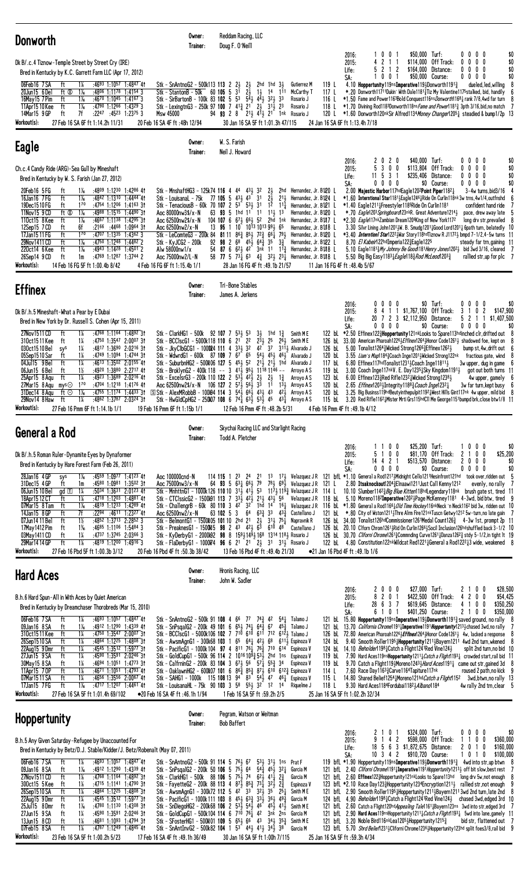| Donworth                                                                                                                                                                                                                                                                                                                                                                                                                                                                                                                                                                                                                                                                                                                                                                                                                                                                   | Owner:<br>Trainer:                                                                  | Reddam Racing, LLC<br>Doug F. O'Neill                                                                                                                                                                                                                                                                                                                                                                                                                                                                                                                                                                                                                                                                                                                                                                                                                                                      |                                                                                                                                                                                                                                                      |                                                                                                                                                                                                                                                                                                                                                                            |                                                                                                                                         |                                                                                                                                                                                                                                                                                                                                                                                                                                                                                                                                                                                                                                                                                                                                                                                                                                                                                                                                                                                                                                                                                                                                                                                                                                                                                                                                                                                                                |                                                |
|----------------------------------------------------------------------------------------------------------------------------------------------------------------------------------------------------------------------------------------------------------------------------------------------------------------------------------------------------------------------------------------------------------------------------------------------------------------------------------------------------------------------------------------------------------------------------------------------------------------------------------------------------------------------------------------------------------------------------------------------------------------------------------------------------------------------------------------------------------------------------|-------------------------------------------------------------------------------------|--------------------------------------------------------------------------------------------------------------------------------------------------------------------------------------------------------------------------------------------------------------------------------------------------------------------------------------------------------------------------------------------------------------------------------------------------------------------------------------------------------------------------------------------------------------------------------------------------------------------------------------------------------------------------------------------------------------------------------------------------------------------------------------------------------------------------------------------------------------------------------------------|------------------------------------------------------------------------------------------------------------------------------------------------------------------------------------------------------------------------------------------------------|----------------------------------------------------------------------------------------------------------------------------------------------------------------------------------------------------------------------------------------------------------------------------------------------------------------------------------------------------------------------------|-----------------------------------------------------------------------------------------------------------------------------------------|----------------------------------------------------------------------------------------------------------------------------------------------------------------------------------------------------------------------------------------------------------------------------------------------------------------------------------------------------------------------------------------------------------------------------------------------------------------------------------------------------------------------------------------------------------------------------------------------------------------------------------------------------------------------------------------------------------------------------------------------------------------------------------------------------------------------------------------------------------------------------------------------------------------------------------------------------------------------------------------------------------------------------------------------------------------------------------------------------------------------------------------------------------------------------------------------------------------------------------------------------------------------------------------------------------------------------------------------------------------------------------------------------------------|------------------------------------------------|
| Dk B/.c.4 Tiznow-Temple Street by Street Cry (IRE)<br>Bred in Kentucky by K.C. Garrett Farm LLC (Apr 17, 2012)<br>06Feb16 7SA<br>1%<br>:4693 1:1057 1:4847 41<br>ft<br>20Jun15 6Del<br>ft Ø<br>$1\%$<br>:4806 1:1178 1:4154 3<br>ft<br>$1\frac{1}{6}$<br>16May 15 7 Pim<br>:46 <sup>70</sup> 1:10 <sup>45</sup> 1:41 <sup>67</sup> 3<br>$1\frac{1}{6}$<br>11Apr15 10 Kee<br>ft<br>$:4790$ 1:1266 1:4329 3<br>14Mar15 9 GP<br>ft<br>7f<br>$:22^{47}$ $:45^{23}$ 1:2375 3<br>Msw 45000<br>Workout(s):<br>27 Feb 16 SA 6F ft 1:14.2h 11/31<br>20 Feb 16 SA 4F ft: 48h 12/94                                                                                                                                                                                                                                                                                                   | Stk - SnAntnoG2 - 500k113 113 2 2 $\frac{1}{2}$<br>Stk - StantonB - 50k 60 105 5 31 | $2\frac{1}{2}$<br>$2\frac{1}{2}$<br>Stk - SirBartonB - 100k 83 102 5 53 54 44 44 32 33<br>Stk - LexingtnG3 - 250k 97 100 7 $41\frac{3}{4}$ 21 $2\frac{1}{2}$ 31 $\frac{1}{2}$ 23<br>94 93 2 8 21 41 21 1nk Rosario J<br>30 Jan 16 SA 5F ft 1:01.3h 47/115                                                                                                                                                                                                                                                                                                                                                                                                                                                                                                                                                                                                                                  | 2hd 1hd $3\frac{1}{2}$<br>$1\frac{1}{2}$ 14 1 <sup>11</sup>                                                                                                                                                                                          | <b>Gutierrez M</b><br>McCarthy T<br>Rosario J<br>Rosario J                                                                                                                                                                                                                                                                                                                 | 2016:<br>2015:<br>Life:<br>SA:<br>119 L<br>117 L<br>116 L<br>24 Jan 16 SA 6F ft 1:13.4h 7/18                                            | \$50,000 Turf:<br>1001<br>$0\ 0\ 0\ 0$<br>2<br>\$114,000<br>Off Track:<br>$0\quad 0\quad 0\quad 0$<br>-1<br>2 1 2<br>\$164,000<br>Distance:<br>$0\,0\,0\,0$<br>5.<br>$\mathbf 0$<br>\$50,000 Course:<br>$0\ 0\ 0$<br>0<br>0<br>-1<br>4.10 Hoppertunity119nsImperative119}Donworth11913<br>dueled, led, willing<br>*.20 Donworth11711Dukin' With Dale11813 Tiz My Valentine1175 stalked, bid, handily<br>*1.50 Fame and Power1163Bold Conquest116ns Donworth11681 rank 7/8,4wd far turn<br>118 L *1.70 Divining Rod1183Donworth118ns Fame and Power11813 3pth 3/16, bid, no match 7<br>120 L *1.60 Donworth120nkSir Alfred1134 Money Changer12051 steadied & bump1/2p 13                                                                                                                                                                                                                                                                                                                                                                                                                                                                                                                                                                                                                                                                                                                                        | \$0<br>\$0<br>\$0<br>\$0                       |
| Eagle                                                                                                                                                                                                                                                                                                                                                                                                                                                                                                                                                                                                                                                                                                                                                                                                                                                                      | Owner:<br>Trainer:                                                                  | W. S. Farish<br>Neil J. Howard                                                                                                                                                                                                                                                                                                                                                                                                                                                                                                                                                                                                                                                                                                                                                                                                                                                             |                                                                                                                                                                                                                                                      |                                                                                                                                                                                                                                                                                                                                                                            |                                                                                                                                         |                                                                                                                                                                                                                                                                                                                                                                                                                                                                                                                                                                                                                                                                                                                                                                                                                                                                                                                                                                                                                                                                                                                                                                                                                                                                                                                                                                                                                |                                                |
| Ch.c.4 Candy Ride (ARG)-Sea Gull by Mineshaft<br>Bred in Kentucky by W. S. Farish (Jan 27, 2012)                                                                                                                                                                                                                                                                                                                                                                                                                                                                                                                                                                                                                                                                                                                                                                           |                                                                                     |                                                                                                                                                                                                                                                                                                                                                                                                                                                                                                                                                                                                                                                                                                                                                                                                                                                                                            |                                                                                                                                                                                                                                                      |                                                                                                                                                                                                                                                                                                                                                                            | 2016:<br>2015:<br>Life:<br>SA:                                                                                                          | \$40,000 Turf:<br>$0\ 0\ 0\ 0$<br>2 <sub>0</sub><br>2<br>0<br>5<br>3 0 0<br>\$113,804 Off Track:<br>$0\ 0\ 0\ 0$<br>$11 \quad 5$<br>31<br>\$235,406<br>Distance:<br>$0\,0\,0\,0$<br>$0\,$ 0 $\,$ 0 $\,$<br>\$0 Course:<br>$0\ 0\ 0\ 0$                                                                                                                                                                                                                                                                                                                                                                                                                                                                                                                                                                                                                                                                                                                                                                                                                                                                                                                                                                                                                                                                                                                                                                         | \$0<br>\$0<br>\$0<br>\$0                       |
| 20Feb16 5FG<br>:4809 1:1230 1:4286 41<br>ft<br>$1\%$<br>16Jan16 7 FG<br>ft<br>$1\%$<br>$:4842$ 1:1310 1:4444 41<br>Stk - Louisanal - 75k<br>170<br>19Dec1510FG<br>ft<br>:4754 1:1206 1:4163 31<br>ft $\otimes$<br>$1\frac{1}{6}$<br>11Nov15 9 CD<br>:49 <sup>88</sup> 1:15 <sup>15</sup> 1:4490 3†<br>Aoc 80000nw3\$/x-N<br>110ct15 8 Kee<br>ft<br>1‰<br>:4667 1:1138 1:4295 31<br>Aoc 62500nw2\$/x-N<br>:2166 :4468 1:0964 31<br>12Sep15 7 CD<br>ft<br>6f<br>Aoc 62500nw2/x-N<br>17Jan 15 11 FG<br>ft<br>170<br>$:4707$ 1:1335 1:4362 3<br>$1\%$<br>29Nov1411 CD<br>$:4750$ 1:1248 1:4482 2<br>ft<br>Stk – KyJCG2 – 200k<br>ft<br>$1\frac{1}{16}$<br>220ct14 6 Kee<br>:4943 1:1428 1:4501 2<br>Alw 58000nw1/x<br>:4769 1:1287 1:3744 2<br>26Sep14 9 CD<br>ft<br>Aoc 75000nw2/L-N<br>1m<br>Workout(s):<br>14 Feb 16 FG 5F ft 1:00.4b 8/42<br>4 Feb 16 FG 6F ft 1:15.4b 1/1 | 13<br>92                                                                            | Stk - MnshaftHG3 - 125k74 116 4 44 433 32<br>$77$ 105 5 43, 43 31<br>Stk - TenaciousB - 60k 70 107 2 $53^{\degree}$ $53^{\degree}$ 31<br>63 93 5 1hd 1 <sup>1</sup> 11<br>104 107 6 67 $\frac{1}{2}$ 6 <sup>6</sup> $\frac{1}{2}$ 5 <sup>2</sup><br>95 1<br>Stk - LeComteG3 - 200k 84 81 11 86 $\frac{3}{4}$ 85 $\frac{1}{2}$ 72 $\frac{3}{4}$ 66 $\frac{1}{4}$ 79 $\frac{1}{2}$<br><b>98</b> 2 68 45 $\frac{1}{2}$ 64 $\frac{3}{4}$ 35<br>28 Jan 16 FG 4F ft :49.1b 21/57                                                                                                                                                                                                                                                                                                                                                                                                                 | 2}<br>$2\overline{1}$<br>$21\frac{1}{2}$<br>$11\frac{1}{2}$ 13<br>2hd 1nk<br>$10^{-}$ $10^{13}$ $10^{13}$ $99^{1}_{2}$ $6^{5}$<br>$3\frac{3}{4}$                                                                                                     | 2hd Hernandez, Jr. B120 L<br>Hernandez, Jr. B124 L<br>12 111 Hernandez, Jr. B121 L<br>Hernandez, Jr. B120 L<br>Hernandez, Jr. B1J17 L<br>Hernandez, Jr. B1J18 L<br>Hernandez, Jr. B120 L<br>Hernandez, Jr. B122 L<br>54 87 6 62 42 3nk 11 11 Hernandez, Jr. B10 B L<br>58 77 5 73 $\frac{1}{4}$ 63 4 $\frac{3}{4}$ 32 $\frac{1}{2}$ 23 $\frac{1}{4}$ Hernandez, Jr. B108 L | 11 Jan 16 FG 4F ft: 48.4b 5/67                                                                                                          | 2.00 Majestic Harbor117hdEagle1202Point Piper11821<br>$3-4w$ turns, bid $3/16$<br>*1.60 Interntional Star11813 Eagle1246 Ride On Curlin118nk 3w trns, 4w1/4, outfnshd<br>*1.40 Eagle1211\#Freestyler1185Ride On Curlin1181<br>confident hand ride<br>*.70 <i>Eagle</i> 1203 Springboard123nkR. Great Adventure12141<br>pace, drew away late<br>*2.30 <i>Eagle</i> 117nkZambian Dream1206King of New York1172<br>long drv str, prevailed 8<br>3.30 Silvr Lining John12011W. B. Smudg12011 Good Lord12011 6path turn, belatedly 10<br>*3.40 Interntionl Star12223War Story118hdTiznow R J11723 bmpd 7-1/2,4-5w turns 11<br>8.70 <i>El Kabeir</i> 122hd Imperia 1223 Eagle 122 <sup>5</sup><br>steady far trn, gaining 11<br>5.10 Eagle1181 $\frac{3}{4}$ My Johnny Be Good 181 Henry Jones 120 <sup>2</sup> bid 3wd 3/16, cleared 7<br>5.50 Big Big Easy1183 $\frac{1}{4}$ Eagle118 $\frac{3}{4}$ Rod McLeod1203 $\frac{3}{4}$<br>rallied str, up for plc 7                                                                                                                                                                                                                                                                                                                                                                                                                                                      |                                                |
| <b>Effinex</b>                                                                                                                                                                                                                                                                                                                                                                                                                                                                                                                                                                                                                                                                                                                                                                                                                                                             | Owner:<br>Trainer:                                                                  | Tri-Bone Stables<br>James A. Jerkens                                                                                                                                                                                                                                                                                                                                                                                                                                                                                                                                                                                                                                                                                                                                                                                                                                                       |                                                                                                                                                                                                                                                      |                                                                                                                                                                                                                                                                                                                                                                            |                                                                                                                                         |                                                                                                                                                                                                                                                                                                                                                                                                                                                                                                                                                                                                                                                                                                                                                                                                                                                                                                                                                                                                                                                                                                                                                                                                                                                                                                                                                                                                                |                                                |
| Dk B/.h.5 Mineshaft-What a Pear by E Dubai<br>Bred in New York by Dr. Russell S. Cohen (Apr 15, 2011)<br>27Nov1511 CD<br>ft<br>$1\%$<br>:4768 1:1164 1:4892 3†<br>310ct1511 Kee<br>1¼<br>:4750 1:3547 2:0007 3†<br>ft<br>1¼<br>$:4817$ 1:3690 2:0216 31<br>030ct1510Bel<br>sys<br>$1\%$<br>:4749 1:1094 1:4744 31<br>05Sep1510 Sar<br>ft<br>ft<br>1¼<br>04Jul15 9 Bel<br>:4613 1:3502 2:0155 41<br>1½<br>06Jun15 6 Bel<br>:4920 1:3880 2:2717 41<br>ft<br>ft<br>1¼<br>25Apr15 8 Aqu<br>:4923 1:3689 2:0216 41<br>$1^{70}$<br>27Mar15 8 Aqu<br>:4704 1:1218 1:4176 41<br>mys<br>$1\%$<br>:4755 1:1174 1:4433 31<br>31Dec14 8 Agu<br>ft $\odot$<br>1¼<br>$:4862$ 1:3787 2:0324 31<br>ft<br>29Nov14 8 Haw<br>Workout(s):<br>27 Feb 16 Pmm 6F ft 1:14.1b 1/1<br>19 Feb 16 Pmm 6F ft 1:15b 1/1                                                                                  | Stk - WdwrdG1 - 600k 87 109 7 67                                                    | Stk - ClarkHG1 - 500k 92 107 7 53 $\frac{1}{2}$ 53<br>Stk - BCClscG1 - 5000k118 110 6 21 22<br>Stk - JkyClbGCG1 - 1000R4 111 4 331 32<br>65<br>Stk - SuburbnHG2 - 500k06 127 5 453 52<br>Stk - BroklynG2 - 400k 118 -- 3 413 953 1118 1146 --<br>Stk - ExcelsrG3 - 200k 110 122 2 $53\frac{1}{2}$ 42 $\frac{1}{2}$<br>Aoc 62500nw2\$/x-N 106 127 2 57 $\frac{1}{2}$ 56 $\frac{1}{2}$ 33<br>SStk - AlexMRobbB - 100194 114 3 543 663 433 43<br>Stk - HwGldCpHG2 - 250107 108 6 74 $\frac{1}{4}$ 63 $\frac{1}{2}$ 53 $\frac{1}{2}$ 45                                                                                                                                                                                                                                                                                                                                                        | $3\frac{1}{2}$<br>1hd $1\frac{3}{4}$<br>$2^{3\frac{1}{2}}$ 25<br>$26\frac{1}{2}$<br>42 37 3111, Alvarado J<br>541 451 461 Alvarado J<br>21½ 21½ 1hd<br>21<br>$1\frac{3}{4}$<br>21<br>11<br>$13\frac{1}{2}$<br>421<br>12 Feb 16 Pmm 4F ft :48.2b 5/31 | Smith M E<br>Smith M E<br>Alvarado J<br>Arroyo A S<br>Arroyo A S<br>Arroyo A S<br>Arroyo A S<br>431 Arroyo A S                                                                                                                                                                                                                                                             | 2016:<br>2015:<br>Life:<br>SA:<br>126 bL<br>120 bL<br>117 bL<br>119 bL<br>123 bL<br>120 bL<br>120 bL<br>4 Feb 16 Pmm 4F ft : 49.1b 4/12 | \$0 Turf:<br>$0\ 0\ 0\ 0$<br>0<br>0<br>$0\quad 0$<br>1 1 \$1,767,100<br>Off Track:<br>0<br>2<br>\$147,900<br>4<br>3<br>20 7 2 3 \$2,112,950 Distance:<br>\$1,407,500<br>5 2 1 1<br>$0\,0\,0$<br>\$0 Course:<br>$0\ 0\ 0\ 0$<br>$\mathbf{0}$<br>122 bl *2.50 Effinex122}Hoppertunity121nkLooks to Spare113hdinched clr, drifted out 8<br>126 bL 33.00 American Pharoah12263 Effinex12643Honor Code12613 shadowed foe, kept on 8<br>5.00 Tonalist1264 wicked Strong 1266 Here 1262 3<br>bump st, 4w, drift out 6<br>3.55 Liam's Map11843 Coach Inge12014 Wicked Strong122nk fractious gate, wknd 8<br>6.80 Effinex117hdTonalist1231; Coach Inge11811;<br>$3w$ upper, dug in game $6$<br>3.00 Coach Inge117nkV. E. Day12351 Sky Kingdom11911 got out both turns 11<br>$6.00$ Effinex123 $3\text{Re}$ d Rifle1232 $1\text{Wicked Strong}$ 1238 $1\text{S}$<br>4w upper, gamely<br>2.65 <i>Effinex</i> 12034Integrity11883 Coach Inge12324<br>3w far turn,kept busy<br>3.25 Big Businss119hdBeutyinthepulpit11921West Hills Gint117nk 4w upper, mild bid 8<br>115 bL 3.20 Red Rifle1162 }Mister Mrti Grs115hdCll Me George1151 bumpd brk, close btw1/8 11                                                                                                                                                                                                                                                           | \$0<br>\$0                                     |
| General a Rod                                                                                                                                                                                                                                                                                                                                                                                                                                                                                                                                                                                                                                                                                                                                                                                                                                                              | Owner:<br>Trainer:                                                                  | Skychai Racing LLC and Starlight Racing<br>Todd A. Pletcher                                                                                                                                                                                                                                                                                                                                                                                                                                                                                                                                                                                                                                                                                                                                                                                                                                |                                                                                                                                                                                                                                                      |                                                                                                                                                                                                                                                                                                                                                                            |                                                                                                                                         |                                                                                                                                                                                                                                                                                                                                                                                                                                                                                                                                                                                                                                                                                                                                                                                                                                                                                                                                                                                                                                                                                                                                                                                                                                                                                                                                                                                                                |                                                |
| Dk B/.h.5 Roman Ruler-Dynamite Eyes by Dynaformer<br>Bred in Kentucky by Hare Forest Farm (Feb 26, 2011)<br>$1\%$<br>:4559 1:0977 1:4123 41<br>28Jan16 4 GP<br>Aoc 100000cnd-N<br>sys<br>31Dec15 4 GP<br>:4580 1:0981 1:3502 31<br>ft<br>1m<br>Aoc 75000nw3/x-N<br>06Jun15 10 Bel<br>$gd$ $\Box$<br>1%<br>:5034 1:3631 2:0123 4†<br>18Apr15 12 CT<br>ft<br>1%<br>:4718 1:1203 1:4881 41<br>$1\%$<br>07Mar15 8 Tam<br>ft<br>:4819 1:1233 1:4289 41<br>7f<br>14Jan15 8 GP<br>ft<br>:2294 :4611 1:2327 41<br>Aoc 62500nw2/x-N<br>$1\frac{1}{2}$<br>07Jun14 11 Bel<br>$:4852$ 1:3713 2:2852 3<br>ft<br>17May 1412 Pim<br>$1\%$<br>:4685 1:1106 1:5484 3<br>ft<br>03May1411 CD<br>ft<br>1¼<br>:4737 1:3745 2:0366 3<br>ft<br>$1\%$<br>$:4819$ 1:1200 1:4916 3<br>29Mar1414 GP<br>Workout(s):<br>27 Feb 16 Pbd 5F ft 1:00.3b 3/12<br>20 Feb 16 Pbd 4F ft: 50.3b 38/42            |                                                                                     | 64 93 5 631 661 79<br>Stk - MnhttnG1 - 1000k126 110 10 313 413 53<br>Stk - CTClssicG2 - 1500l91 113 7 33 $\frac{5}{2}$ 42 $\frac{5}{2}$ 21 $\frac{1}{2}$ 43 $\frac{1}{2}$ 56<br>63 102 5 3<br>Stk - BelmontG1 - 1500k05 101 10 2hd 21 23 313 75 $\frac{1}{4}$<br>Stk - PreaknesG1 - 1500l45 98 2 43 423 63 610 48<br>Stk - KyDerbyG1 - 2000l92 98 8 1591491493 168 1314 1181 Rosario J<br>Stk - FlaDerbyG1 - 1000 74 96 6 21 21 23 31 313 Rosario J<br>13 Feb 16 Pbd 4F ft :49.4b 21/30                                                                                                                                                                                                                                                                                                                                                                                                    | $64$ $63\frac{3}{4}$ $33$ $43\frac{3}{4}$                                                                                                                                                                                                            | $78\frac{1}{2}$ 69 $\frac{1}{2}$ Velazquez JR 121 L<br>117½ 119¾ Velazquez J R  114 L<br>Castellano J<br>Napravnik R<br>Castellano J                                                                                                                                                                                                                                       | 2016:<br>2015:<br>Life:<br>SA:<br>$\bullet$ 21 Jan 16 Pbd 4F ft :49.1b 1/6                                                              | \$25,200 Turf:<br>1000<br>0 <sub>0</sub><br>51<br>0 <sub>0</sub><br>Off Track:<br>2 1 0 0<br>\$81,170<br>\$513,570 Distance:<br>14421<br>2000<br>$0\quad 0\quad 0$<br>\$0 Course:<br>$0\ 0\ 0\ 0$<br>0<br>114 115 1 23 24 21 13 173 Velazquez JR 121 bfL *1.10 General a Rod12173Midnight Cello1211Hesinfront121hd took over,ridden out 5<br>2.80 Itsaknockout12043Elnaawi1211Just Call Kenny1212<br>evenly, no rally 7<br>10.10 Slumber11423 Big Blue Kitten118hdLegendary118nk brush gate st, tired 11<br>Velazquez JR 118 bl. 5.10 Moreno1182Imperative1202; Page McKenney1181 4-3wd, bid btw, tired 9<br>Stk - ChallengrB - 60k 80 110 3 4 <sup>2</sup> 3 <sup>2</sup> 1hd 1 <sup>4</sup> 16 <sub>4</sub> Velazquez JR 116 bl. *1.80 General a Rod11664 <i>01d Time Hockey</i> 116 <sup>nk</sup> Neck 'n Neck116 <sup>2</sup> bid 3w, ridden out 10<br>121 bl. *.80 City of Wston12114Thre Alrm Fire121nkTuscn Getwy1212 5w-turn, no late gain 7<br>126 bL 34.00 Tonalist126hdCommissioner1261Medal Count126 <sup>3</sup> 4-3w 1st, prompt 2p 11<br>126 bl 20.10 Clforn Chrom1261;Rid On Curlin1266;Socil Inclusion126hdshuffled back 3-1/2 10<br>126 bL 30.70 <i>Cliforni Chrome</i> 12613 <sub>4</sub> Commnding Curve12613Danza126 <sup>2</sup> 3 stdy 5-1/2, in tight 1t 19<br>122 bL 4.80 Constitution122nkWildcat Red1221 <sup>1</sup> General a Rod122 <sup>2</sup> <sup>1</sup> 3 wide, weakened 8 | \$0<br>\$25,200<br>\$0<br>\$0                  |
| <b>Hard Aces</b>                                                                                                                                                                                                                                                                                                                                                                                                                                                                                                                                                                                                                                                                                                                                                                                                                                                           | Owner:<br>Trainer:                                                                  | Hronis Racing, LLC<br>John W. Sadler                                                                                                                                                                                                                                                                                                                                                                                                                                                                                                                                                                                                                                                                                                                                                                                                                                                       |                                                                                                                                                                                                                                                      |                                                                                                                                                                                                                                                                                                                                                                            |                                                                                                                                         |                                                                                                                                                                                                                                                                                                                                                                                                                                                                                                                                                                                                                                                                                                                                                                                                                                                                                                                                                                                                                                                                                                                                                                                                                                                                                                                                                                                                                |                                                |
| B.h.6 Hard Spun-All in With Aces by Quiet American<br>Bred in Kentucky by Dreamchaser Thorobreds (Mar 15, 2010)<br>06Feb16 7SA<br>ft<br>:4693 1:1057 1:4847 41<br>1%<br>09Jan16 8 SA<br>ft<br>1‰<br>:4912 1:1290 1:4339 41<br>310ct1511 Kee<br>ft<br>1¼<br>:4750 1:3547 2:0007 31<br>26Sep1510 SA<br>ft<br>1%<br>:4864 1:1225 1:4808 3†<br>22Aug15 9Dmr<br>ft<br>1¼<br>:4545 1:3512 1:5977 31<br>1%<br>27Jun15 9 SA<br>ft<br>:4590 1:3591 2:0246 3†<br>$1\%$<br>ft<br>:4694 1:1051 1:4773 31<br>30May 15 8 SA<br>$1\%$<br>:4671 1:1051 1:4793 41<br>11Apr15 70P<br>ft<br>1¼<br>07Mar1511 SA<br>ft<br>:4656 1:3556 2:0067 41<br>17Jan15 7 FG<br>ft<br>$1\frac{1}{16}$<br>:4717 1:1207 1:4461 41<br>Workout(s):<br>27 Feb 16 SA 5F ft 1:01.4h 69/102<br>●20 Feb 16 SA 4F ft:46.1h 1/94                                                                                       |                                                                                     | Stk - SnAntnoG2 - 500k 91 108 4 66 77 74 $\frac{3}{4}$ 42 54 $\frac{1}{4}$ Talamo J<br>Stk - SnPsqalG2 - 200k 49 101 6 653 741 64 $\frac{3}{4}$ 67 45 $\frac{3}{4}$<br>Stk - BCClscG1 - 5000k106 102 7 710 610 611 712 6124 Talamo J<br>Stk - AwsmAgnG1 - 300k68 103 1 65 64 $\frac{1}{4}$ 42 $\frac{1}{2}$ 68<br>Stk - Pacific G1 - 1000k 104 97 4 811 76 $\frac{1}{4}$ 76 $\frac{5}{4}$ 710 614 Espinoza V<br>Stk - GoldCupG1 - 500k 96 114 2 1016 109 $\frac{3}{4}$ 53 $\frac{1}{2}$ 2hd 1ns Espinoza V<br>Stk - CalfrninG2 - 200k 83 104 3 67 5 56 57 $\frac{1}{4}$ 55 $\frac{3}{4}$ 34<br>Stk - OaklawnHG2 - 600k07 101 6 $86\frac{3}{4}$ $85\frac{3}{4}$ $87\frac{1}{2}$ 610 612 $\frac{3}{4}$ Espinoza V<br>Stk - SAHG1 - 1000k 115 108 13 94 83 54 $\frac{1}{2}$ 47 46 $\frac{1}{4}$ Espinoza V<br>Stk - LouisanaHL - 75k 90 103 3 58 553 32 12 14<br>1 Feb 16 SA 5F ft :59.2h 2/5 |                                                                                                                                                                                                                                                      | Talamo J<br>6111, Espinoza V<br>Espinoza V<br>Rique1me J                                                                                                                                                                                                                                                                                                                   | 2016:<br>2015:<br>Life:<br>SA:<br>124 bL<br>119 bL<br>119 bL<br>114 L<br>115 L<br>118 L<br>25 Jan 16 SA 5F ft 1:02.2h 32/34             | \$27,000 Turf:<br>$0\,0\,0$<br>2100<br>2<br>2 0 1<br>\$422,500 Off Track:<br>4 2 0 0<br>8<br>28<br>637<br>\$619,645 Distance:<br>4 1 0 0<br>\$401,250 Course:<br>6 1<br>0 <sub>1</sub><br>2 1 0 0<br>121 bL 15.80 <b>Hoppertunity</b> 119ns Imperative 119 $\frac{1}{2}$ Donworth 119 <sup>13</sup> / <sub>2</sub> saved ground, no rally 8<br>121 bL 13.70 <i>California Chrome</i> 1191 <sub>4</sub> Imperative1191Hoppertunity1213 <sub>3</sub> chased 3wd, no rally 7<br>126 bL 72.80 American Pharoah122 <sup>6</sup> <i>Effinex</i> 126 <sup>4</sup> Honor Code126 <sup>1</sup> 4w, lacked a response 8<br>9.40 Smooth Roller11954 Hoppertunity 1211 Bayern1211 4wd 2nd turn, wkened 8<br>124 bl 14.10 Beholder1198 }Catch a Flight1241 Red Vine124 }<br>split 2nd turn, no bid 10<br>7.90 Hard Aces119ns <b>Hoppertunity</b> 1211 $\frac{1}{4}$ <i>Catch a Flight</i> 1193 $\frac{1}{4}$ crowded start, rail bid 11<br>9.70 Catch a Flight119}Moreno1243} Hard Aces1191} came out str, gained 3d 8<br>7.60 Race Day116 <sup>33</sup> /Carve1164Tapiture117nk<br>roused 2 path, no kick 9<br>14.80 Shared Belief1254 Moreno121hd <i>Catch a Flight</i> 115 <sup>2</sup> 3wd, btwn, no rally 13<br>9.30 Hard Aces1184Fordubai11823 Albano1184<br>4w rally 2nd trn, clear 5                                                                                                                                | \$28,500<br>\$54,425<br>\$350,250<br>\$350,000 |
| <b>Hoppertunity</b>                                                                                                                                                                                                                                                                                                                                                                                                                                                                                                                                                                                                                                                                                                                                                                                                                                                        | Owner:<br>Trainer:                                                                  | Pegram, Watson or Weitman<br><b>Bob Baffert</b>                                                                                                                                                                                                                                                                                                                                                                                                                                                                                                                                                                                                                                                                                                                                                                                                                                            |                                                                                                                                                                                                                                                      |                                                                                                                                                                                                                                                                                                                                                                            |                                                                                                                                         |                                                                                                                                                                                                                                                                                                                                                                                                                                                                                                                                                                                                                                                                                                                                                                                                                                                                                                                                                                                                                                                                                                                                                                                                                                                                                                                                                                                                                |                                                |
| B.h.5 Any Given Saturday-Refugee by Unaccounted For<br>Bred in Kentucky by Betz/D.J. Stable/Kidder/J. Betz/Robenalt (May 07, 2011)<br>06Feb16 7SA<br>ft<br>:46 <sup>93</sup> 1:10 <sup>57</sup> 1:48 <sup>47</sup> 41<br>1%<br>$1\%$<br>09Jan16 8 SA<br>:4912 1:1290 1:4339 41<br>ft<br>27Nov1511 CD<br>ft<br>$1\%$<br>:4768 1:1164 1:4892 31<br>300ct15 5Kee<br>1%<br>$:47^{15}$ 1:1141 1:4790 31<br>ft<br>1%<br>ft<br>:4864 1:1225 1:4808 31<br>26Sep1510 SA<br>ft<br>1¼<br>$:4545$ 1:3512 1:5977 31<br>22Aug15 9Dmr<br>$1\%$<br>:4780 1:1130 1:4308 31<br>25Jul15 8Dmr<br>ft<br>27Jun15 9 SA<br>1¼<br>:4590 1:3591 2:0246 31<br>ft<br>13Jun15 8 CD<br>1%<br>:4681 1:1093 1:4794 31<br>ft<br>07Feb15 8SA<br>:4787 1:1249 1:4845 41<br>1%<br>ft<br>Workout(s):<br>23 Feb 16 SA 5F ft 1:00.2h 5/23<br>17 Feb 16 SA 4F ft: 49.1h 36/49                                      |                                                                                     | Stk - SnAntnoG2 - 500k 91 114 5 76 5 67<br>Stk - SnPsgalG2 - 200k 50 106 5 $75\frac{1}{2}$ 64<br>Stk - ClarkHG1 - 500k 88 106 5 75, 74<br>Stk - FayetteG2 - 200k 88 113 4 87 $\frac{5}{2}$ 85 $\frac{3}{4}$<br>Stk - AwsmAgnG1 - 300k72 112 5 42 33<br>Stk - Pacific G1 - 1000k 111 103 8 454 633 334 364 493<br>Stk - SnDiegoHG2 - 200k68 106 2 $53\frac{5}{2}$ $54\frac{3}{2}$ 4 <sup>6</sup> $45\frac{5}{2}$ $41\frac{3}{2}$ Smith M E<br>Stk - GoldCupG1 - 500k104 114 6 710 76 $\frac{7}{4}$ 42 3nk 2ns Garcia M<br>Stk - SFosterHG1 - 500N01 109 5 651 66 43 341 352 Smith ME<br>Stk - SnAntInvG2 - 500k82 104 1 $53^{\circ}$ 44 $\frac{1}{2}$ 41 $\frac{1}{2}$ 34 $\frac{5}{2}$ 38 <sup>4</sup> Garcia M<br>30 Jan 16 SA 5F ft 1:00h 7/115                                                                                                                                          | $53\frac{1}{2}$ 31 $\frac{1}{2}$ 1 ns Prat F<br>$54\frac{3}{4}$ $45\frac{1}{3}$ $32\frac{1}{4}$ Garcia M<br>$62\frac{1}{2}$ 41 $2\frac{3}{2}$<br>$73\frac{1}{4}$ $32\frac{1}{2}$ $2\frac{3}{4}$<br>$32\frac{1}{2}$ $35$ $25\frac{1}{4}$              | Garcia M<br>Espinoza V<br>Smith M E<br>Garcia M                                                                                                                                                                                                                                                                                                                            | 2016:<br>2015:<br>Life:<br>SA:<br>25 Jan 16 SA 5F ft: 59.3h 4/34                                                                        | \$324,000 Turf:<br>0 <sub>1</sub><br>$0\,0\,0\,0$<br>21<br>\$598,000<br>9<br>$\overline{c}$<br>Off Track:<br>0<br>4<br>0<br>-1<br>11<br>18 5 6 3 \$1,872,675 Distance:<br>201<br>0<br>$10 \t3 \t4 \t2$<br>1 0 1 0<br>\$910,720 Course:<br>119 bfL *1.90 Hoppertunity119nsImperative119 bonworth11913 4wd into str, up btwn 8<br>121 bfl. 2.40 <i>Cliforni Chrome</i> 1191 <sup>1</sup> <b>Imperative</b> 1191 <i>Hoppertunity</i> 121 <sup>31</sup> / off bit slow, best rest 7<br>121 bfl 2.60 Effinex1223Hoppertunity121nkLooks to Spare113hd long drv 5w, not enough 8<br>123 bfL *2.10 Race Day123}Hoppertunity1234Encryption1211} rallied str, not enough<br>121 bfL 2.90 Smooth Roller11954Hoppertunity12114Bayern12113wd 2nd turn, late 2nd 8<br>124 bfL 4.90 Beholder11981 Catch a Flight1241 Red Vine1241 chased 3wd, edged 3rd 10<br>121 bfl. 2.60 Catch a Flight120hd Appealing Tale11611Bayern123ns 3wd into str, edged 3rd 7<br>121 bfl. 2.90 Hard Aces119nsHoppertunity12111 Catch a Flight11931 5wd into lane, gamely 11<br>121 bfL 3.20 Noble Bird116nkLea12054Hoppertunity12153<br>bid str. flattened out 7<br>123 bfl 5.70 Shrd Belief12313Cliforni Chrome12363Hoppertunity123hd split foes3/8, rail bid 9                                                                                                                                                                                   | \$0<br>\$360,000<br>\$160,000<br>\$100,000     |

25 Jan 16 SA 5F ft :59.3h 4/34

23 Feb 16 SA 5F ft 1:00.2h 5/23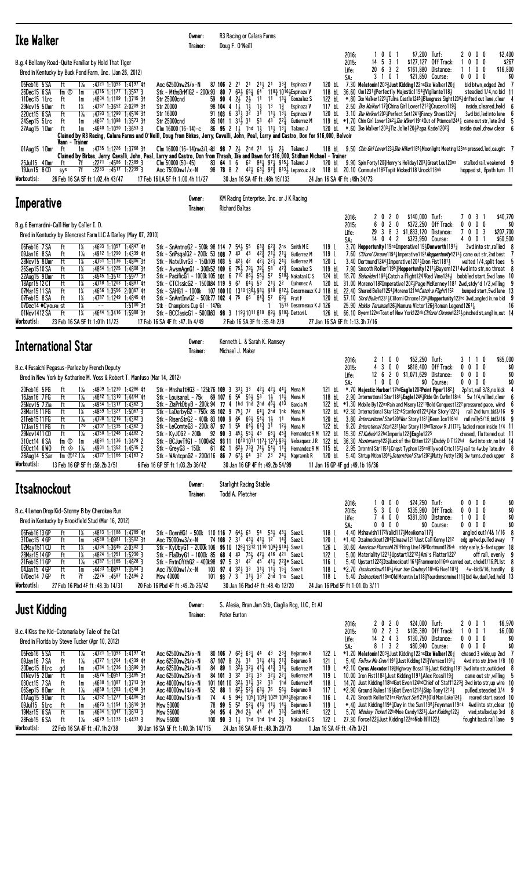| Ike Walker                                              |                  |       |                                  |                                      |                          |                                                                                                                                           | Owner:<br>Trainer: |  | R <sub>3</sub> Racing or Calara Farms<br>Doug F. O'Neill   |        |        |                 |                                                                                                                                                     |        |                              |          |                |                                                    |                                                                                                                            |  |                           |                                                                                                                   |                  |
|---------------------------------------------------------|------------------|-------|----------------------------------|--------------------------------------|--------------------------|-------------------------------------------------------------------------------------------------------------------------------------------|--------------------|--|------------------------------------------------------------|--------|--------|-----------------|-----------------------------------------------------------------------------------------------------------------------------------------------------|--------|------------------------------|----------|----------------|----------------------------------------------------|----------------------------------------------------------------------------------------------------------------------------|--|---------------------------|-------------------------------------------------------------------------------------------------------------------|------------------|
| B.g.4 Bellamy Road-Quite Familiar by Hold That Tiger    |                  |       |                                  |                                      |                          |                                                                                                                                           |                    |  |                                                            |        |        |                 |                                                                                                                                                     |        | 2016:<br>2015:               | 14 5 3 1 | 001            |                                                    | \$7,200 Turf:<br>\$127,127 Off Track:                                                                                      |  | 2000<br>$0\quad 0\quad 0$ |                                                                                                                   | \$2,400<br>\$267 |
|                                                         |                  |       |                                  |                                      |                          |                                                                                                                                           |                    |  |                                                            |        |        |                 |                                                                                                                                                     |        | Life:                        | 20 6 3 2 |                |                                                    | \$161,880 Distance:                                                                                                        |  | $0\quad 0$                |                                                                                                                   | \$16,800         |
| Bred in Kentucky by Buck Pond Farm, Inc. (Jan 26, 2012) |                  |       |                                  |                                      |                          |                                                                                                                                           |                    |  |                                                            |        |        |                 |                                                                                                                                                     |        | SA:                          | 31       | 0 <sub>1</sub> |                                                    | \$21,850 Course:                                                                                                           |  | $0\ 0\ 0\ 0$              |                                                                                                                   | \$0              |
| 05Feb16 5 SA                                            |                  | $1\%$ |                                  | :4721 1:1093                         | $1:4197$ 41              | Aoc 62500nw2\$/ $x - N$                                                                                                                   |                    |  | 87 106 2 21 21                                             | 21, 21 |        | 333             | Espinoza V                                                                                                                                          | 120 bL |                              |          |                |                                                    | 7.30 Melatonin12033 Just Kidding 122ns Ike Walker 1203                                                                     |  |                           | bid btwn.edged 2nd 7                                                                                              |                  |
| 26Dec15 6 SA                                            | fm $\circled{r}$ | 1m    |                                  | :47 <sup>15</sup> 1:11 <sup>77</sup> | $1:3557$ 3               | Stk - MthsBrM1G2 - 200k93 80 7 63 56 65 64                                                                                                |                    |  |                                                            |        |        |                 | 1183 1016.1 Espinoza V                                                                                                                              |        |                              |          |                |                                                    | 118 bl 36.60 Om1231\; Perfectly Majestic1194\; Vigilante118\                                                               |  |                           | steadied 1/4, no bid 11                                                                                           |                  |
| 11Dec15 1 Lrc                                           |                  | 1m    |                                  | :4804 1:1189                         | $1:3715$ 31              | <b>Str 25000cnd</b>                                                                                                                       |                    |  | $59$ 90 4 2 $2\frac{1}{2}$ 2 $11$                          |        | 11     | $13\frac{1}{2}$ | Gonzalez S                                                                                                                                          | 122 bL |                              |          |                |                                                    |                                                                                                                            |  |                           | *.80 Ike Walker12231Tulira Castle12453Bluegrass Sight12061 drifted out lane, clear 4                              |                  |
| 29Nov15 5 Dmr                                           | ft               | 14    |                                  |                                      | $:4767$ 1:3652 2:0209 31 | Str 20000                                                                                                                                 |                    |  | 98104413                                                   | - 14   | 13     | $1\frac{3}{2}$  | Espinoza V                                                                                                                                          | 117 bL |                              |          |                |                                                    | 2.50 Ike Walker1173 China Girl Lover12133 Crucero1193                                                                      |  |                           | inside.cleared.held 6                                                                                             |                  |
| 220ct15 6 SA                                            | ft               | $1\%$ |                                  | $:4793$ 1:1290                       | $1:45^{16}31$            | Str 16000                                                                                                                                 |                    |  | 91 103 6 314 32 31                                         |        |        |                 | 111, 131, Espinoza V                                                                                                                                | 120 bL |                              |          |                |                                                    | 3.10 Ike Walker12031Perfect Set12413Fancy Shoes12241                                                                       |  |                           | 3wd bid, led into lane 6                                                                                          |                  |
| 24Sep15 5 Lrc                                           |                  | 1m    |                                  |                                      | $:4667$ 1:1098 1:3573 31 | Str 25000cnd                                                                                                                              |                    |  | 85 101 1 314 31 53                                         |        | 43 221 |                 | Gutierrez M                                                                                                                                         |        |                              |          |                |                                                    |                                                                                                                            |  |                           | 119 bl. *1.70 Chin Girl Lover12421 <i>Ike Wiker</i> 119nkOut of Ptience12441 came out str. late 2nd 5             |                  |
| 27Aug 15 1 Dmr                                          |                  | 1m    |                                  |                                      | $:4640$ 1:1090 1:3653 3  | Clm $16000(16-14)-c$                                                                                                                      |                    |  | 86 <b>95</b> 2 14 1hd 14 1 <sup>1</sup> 4 1 <sup>3</sup> 4 |        |        |                 | Talamo J                                                                                                                                            |        |                              |          |                |                                                    | 120 bl $*$ .60 Ike Walker120 <sup>3</sup> $\frac{1}{4}$ Tiz Jolie120 $\frac{1}{4}$ Papa Kade120 <sup>2</sup> $\frac{3}{4}$ |  |                           | inside duel.drew clear 6                                                                                          |                  |
|                                                         |                  |       |                                  |                                      |                          | Claimed by R3 Racing, Calara Farms and O'Neill, Doug from Birkes, Jerry, Cavalli, John, Peal, Larry and Castro, Don for \$16,000, Belvoir |                    |  |                                                            |        |        |                 |                                                                                                                                                     |        |                              |          |                |                                                    |                                                                                                                            |  |                           |                                                                                                                   |                  |
|                                                         | Vann - Trainer   |       |                                  |                                      |                          |                                                                                                                                           |                    |  |                                                            |        |        |                 |                                                                                                                                                     |        |                              |          |                |                                                    |                                                                                                                            |  |                           |                                                                                                                   |                  |
| 01Aug15 1Dmr                                            |                  | 1m    |                                  |                                      | $:4735$ 1:1226 1:3768 31 | Clm 16000 (16-14)nw3/L-8d 98 7 2 3 2hd 21 1 3 2 3 Talamo J                                                                                |                    |  |                                                            |        |        |                 |                                                                                                                                                     | 118 bL |                              |          |                |                                                    |                                                                                                                            |  |                           | 9.50 <i>Chin Girl Lover</i> 1233 <i>Ike Wiker</i> 118 <sup>5</sup> Moonlight Meeting 123ns pressed, led, caught 7 |                  |
|                                                         |                  |       |                                  |                                      |                          | Claimed by Birkes, Jerry, Cavalli, John, Peal, Larry and Castro, Don from Thrash, Ike and Dawn for \$16,000, Stidham Michael – Trainer    |                    |  |                                                            |        |        |                 |                                                                                                                                                     |        |                              |          |                |                                                    |                                                                                                                            |  |                           |                                                                                                                   |                  |
| 25Ju115 4 Dmr                                           | ft               |       | :2271                            |                                      | $:4586$ 1:2389 3         | $C$ lm 50000 $(50-45)$                                                                                                                    |                    |  | 83 64 1 6                                                  |        |        |                 | 6 <sup>2</sup> 8 <sup>4</sup> <sup>1</sup> <sub>4</sub> 9 <sup>7</sup> <sub>1</sub> <sub>4</sub> 9 <sup>15</sup> <sub>1</sub> <sub>4</sub> Talamo J | 120 bL |                              |          |                |                                                    | 9.90 Spin Forty1203Henry's Holiday12031Great Lou120ns                                                                      |  |                           | stalked rail, weakened 9                                                                                          |                  |
| 19Jun15 8 CD                                            | sys              | 7f    | $:22^{33}$                       |                                      | $:4517$ 1:2239 3         | Aoc 75000nw1/x-N                                                                                                                          |                    |  | 98 78 8 2                                                  |        |        |                 | 42 $\frac{1}{2}$ 63 $\frac{1}{2}$ 97 $\frac{3}{4}$ 813 $\frac{1}{2}$ Leparoux JR                                                                    |        |                              |          |                | 118 bl 20.10 Commute1185Tapit Wicked1181Jrock118nk |                                                                                                                            |  |                           | hopped st, 8path turn 11                                                                                          |                  |
| Workout(s):                                             |                  |       | 26 Feb 16 SA 5F ft 1:02.4h 43/47 |                                      |                          | 17 Feb 16 LA 5F ft 1:00.4h 11/27                                                                                                          |                    |  | 30 Jan 16 SA 4F ft :48h 16/133                             |        |        |                 |                                                                                                                                                     |        | 24 Jan 16 SA 4F ft:49h 34/73 |          |                |                                                    |                                                                                                                            |  |                           |                                                                                                                   |                  |
|                                                         |                  |       |                                  |                                      |                          |                                                                                                                                           |                    |  |                                                            |        |        |                 |                                                                                                                                                     |        |                              |          |                |                                                    |                                                                                                                            |  |                           |                                                                                                                   |                  |

| Imperative                                                                                                                                                                                                                                                                                                                                                                                                                                                                                                                                                                                                                                                                                                                                                                                                                         | Owner:<br>Trainer: | <b>Richard Baltas</b> | KM Racing Enterprise, Inc. or J K Racing |                                                                                                                                                                                                                                                                                                                                                                                                                                                                                                                                                                                                                                                                      |                                  |                                |                                                                                                                                                                                                                                                                            |              |                                                                        |                      |                                           |                                                                                                                                                                                                                                                                                                                                                                                                                                                                                                                                                                                                                         |
|------------------------------------------------------------------------------------------------------------------------------------------------------------------------------------------------------------------------------------------------------------------------------------------------------------------------------------------------------------------------------------------------------------------------------------------------------------------------------------------------------------------------------------------------------------------------------------------------------------------------------------------------------------------------------------------------------------------------------------------------------------------------------------------------------------------------------------|--------------------|-----------------------|------------------------------------------|----------------------------------------------------------------------------------------------------------------------------------------------------------------------------------------------------------------------------------------------------------------------------------------------------------------------------------------------------------------------------------------------------------------------------------------------------------------------------------------------------------------------------------------------------------------------------------------------------------------------------------------------------------------------|----------------------------------|--------------------------------|----------------------------------------------------------------------------------------------------------------------------------------------------------------------------------------------------------------------------------------------------------------------------|--------------|------------------------------------------------------------------------|----------------------|-------------------------------------------|-------------------------------------------------------------------------------------------------------------------------------------------------------------------------------------------------------------------------------------------------------------------------------------------------------------------------------------------------------------------------------------------------------------------------------------------------------------------------------------------------------------------------------------------------------------------------------------------------------------------------|
| B.g.6 Bernardini-Call Her by Caller I.D.<br>Bred in Kentucky by Glencrest Farm LLC & Darley (May 07, 2010)                                                                                                                                                                                                                                                                                                                                                                                                                                                                                                                                                                                                                                                                                                                         |                    |                       |                                          |                                                                                                                                                                                                                                                                                                                                                                                                                                                                                                                                                                                                                                                                      |                                  | 2016:<br>2015:<br>Life:<br>SA: | $14 \t0 \t4 \t2$                                                                                                                                                                                                                                                           | 2020<br>6020 | \$140,000 Turf:<br>29 3 8 3 \$1,833,120 Distance:<br>\$323.950 Course: | \$372,250 Off Track: | 7031<br>$0\,0\,0\,0$<br>$'$ 0 0 3<br>4001 | \$40.770<br>\$0<br>\$207.700<br>\$60.500                                                                                                                                                                                                                                                                                                                                                                                                                                                                                                                                                                                |
| 06Feb16 7SA<br>$1:4847$ 41<br>Stk - SnAntnoG2 - 500k 98 114 7 $54\frac{1}{2}$ 55<br>:4693 1:1057<br>09Jan16 8 SA<br>1:4339 41<br>:4912 1:1290<br>∦a<br>1:4806 31<br>28Nov15 8Dmr<br>:4761 1:1136<br>1‰<br>$1:4808$ 31<br>26Sep1510 SA<br>$:4864$ 1:1225<br>1‰<br>22Aug15 9 Dmr<br>$:4545$ 1:3512 1:5977 31<br>1¼<br>18Apr15 12 CT<br>$:47^{18}$ 1:1203 1:4881 41<br>Stk - CTC1ssicG2 - 1500k84 119 9 67 643 53 213 22 Quinonez A<br>ft<br>1‰<br>2:0067 41<br>07Mar1511 SA<br>:4656 1:3556<br>ft<br>1¼<br>Stk - SnAntInvG2 - 500k77 102 4 75 66 843 57<br>$1:4845$ 41<br>07Feb15 8 SA<br>:4787 1:1249<br>1 %<br>$1:5100$ 3t<br>Stk - Champions Cup G1 - 1476k<br>07Dec14 ♦ CyoupN) st<br>1%<br>$- -$<br>$1:5988$ 31<br>1½<br>01Nov1412 SA<br>Stk - BCClasicG1 - 5000183 98 3 11941011810 894 9103 Dettori L<br>$:4644$ 1:3416<br>ft |                    |                       |                                          | $63\frac{3}{4}$ $62\frac{3}{4}$ 2ns Smith ME<br>Stk - SnPsgalG2 - 200k 53 108 7 43 43 42 $\frac{3}{2}$ 21 $\frac{1}{2}$ 21 $\frac{1}{4}$ Gutierrez M<br>Stk - NatvDivrG3 - 150k109 103 5 423 42 423 223 243 Gutierrez M<br>Stk - AwsmAgnG1 - 300k52 109 6 75 $\frac{7}{2}$ 79 $\frac{1}{4}$ 79 $\frac{1}{4}$ 58 47 $\frac{3}{4}$ Gonzalez S<br>Stk - PacificG1 - 1000k 105 101 6 710 861 551 57 5103 Nakatani CS<br>Stk - SAHG1 - 1000k 107 100 10 13 <sup>10</sup> 13 <sup>6</sup> 19 <sup>8</sup> 91 <sup>0</sup> 812 Desormeaux K J 118 bl 22.40 Shared Belief1254 Moreno121hd Catch a Flight15 <sup>2</sup><br>$69\frac{1}{2}$ Prat F<br>1513 Desormeaux K J 126 | 119 L<br>119L<br>120 L<br>119 bL |                                | 3.70 Hoppertunity119nsImperative119; Donworth1191?<br>3.40 Dortmund1244} Imperative1201} Iron Fist1181}<br>120 bl. 57.10 Shrd Belief12314Cliforni Chrome12364Hoppertunity123hd 3wd.angled in.no bid 9<br>25.90 <i>Hokko Tarumae</i> 1263Namura Victor1263Roman Legend12613 |              |                                                                        |                      |                                           | 3wd into str, rallied 8<br>7.60 <i>Cliforni Chrome</i> 11911 Imperative1191 <i>Hoppertunity</i> 121 <sup>31</sup> came out str. 2nd best 7<br>waited 1/4, split foes 5<br>7.90 Smooth Roller11954Hoppertunity12114Bayern12114wd into str.no threat 8<br>124 bL 18.70 Beholder1198 + Catch a Flight1241 Red Vine124 bobbled start, 5wd lane 10<br>120 bl. 31.00 Moreno118 <sup>2</sup> Imperative120 <sup>2</sup> <sup>1</sup> Page McKenney118 <sup>1</sup> 2wd.stdy'd 1/2.willing 9<br>bumped start,5wd lane 13<br>16<br>126 bl 66.10 Byern122nsTost of New York122nk Cliforni Chrome12234 pinched st, angl in, out 14 |
| Workout(s):<br>23 Feb 16 SA 5F ft 1:01h 11/23<br>17 Feb 16 SA 4F ft :47.1h 4/49                                                                                                                                                                                                                                                                                                                                                                                                                                                                                                                                                                                                                                                                                                                                                    |                    |                       | 2 Feb 16 SA 3F ft :35.4h 2/9             |                                                                                                                                                                                                                                                                                                                                                                                                                                                                                                                                                                                                                                                                      | 27 Jan 16 SA 6F ft 1:13.3h 7/16  |                                |                                                                                                                                                                                                                                                                            |              |                                                                        |                      |                                           |                                                                                                                                                                                                                                                                                                                                                                                                                                                                                                                                                                                                                         |

| <b>International Star</b>                                                                | Owner:                          | Kenneth L. & Sarah K. Ramsey                                                                                                                                                                                |                                 |                                                                 |                                                                                          |
|------------------------------------------------------------------------------------------|---------------------------------|-------------------------------------------------------------------------------------------------------------------------------------------------------------------------------------------------------------|---------------------------------|-----------------------------------------------------------------|------------------------------------------------------------------------------------------|
|                                                                                          | Trainer:                        | Michael J. Maker                                                                                                                                                                                            |                                 |                                                                 |                                                                                          |
|                                                                                          |                                 |                                                                                                                                                                                                             | 2016:                           | \$52.250<br>2 1 0 0                                             | \$85,000<br>Turf:<br>31<br>$\overline{\phantom{a}}$                                      |
| B.c.4 Fusaichi Pegasus-Parlez by French Deputy                                           |                                 |                                                                                                                                                                                                             | 2015:                           | 4 3 0 0<br>\$818.400                                            | Off Track:<br>$0\ 0\ 0\ 0$<br>\$0                                                        |
| Bred in New York by Katharine M. Voss & Robert T. Manfuso (Mar 14, 2012)                 |                                 |                                                                                                                                                                                                             | Life:                           | 12 6 2 0 \$1,071,629<br>$0\quad 0\quad 0\quad$                  | $0\ 0\ 0\ 0$<br>\$0<br>Distance:<br>\$0<br>\$0 Course:<br>$0\ 0\ 0\ 0$                   |
| 20Feb16 5FG<br>$:4809$ 1:1230 1:4286 41<br>ft<br>$1\%$                                   |                                 | Stk – MnshaftHG3 – 125k76 109 3 33 $\frac{1}{2}$ 33 42 $\frac{1}{2}$ 42 $\frac{1}{2}$ 44 $\frac{1}{4}$ Mena M                                                                                               | SA:<br>121 bL                   | *.70 Majestic Harbor117hdEagle1202Point Piper11821              | 2p1st,rail 3/8,no kick                                                                   |
| 16Jan16 7 FG<br>ft<br>:4842 1:1310 1:4444 41<br>$1\%$                                    |                                 | Stk – Louisanal – 75k 69 107 6 5 <sup>6</sup> 5 <sup>5</sup> 5 <sup>3</sup> 1 <sup>3</sup> 1 <sup>1</sup> 1 <sup>1</sup> Mena M                                                                             | 118 bL                          | 2.90 International Star11813 Eagle1246 Ride On Curlin118nk      | 5w 1/4, rallied, clear 6                                                                 |
| 25Nov15 7 Zia<br>$:4954$ 1:1317 1:4362 3<br>$1\%$                                        |                                 | Stk - ZiaPrkDbyB - 200k 94 77 4 1hd 1hd 2hd 461 413 Garcia M                                                                                                                                                |                                 |                                                                 | 122 bl. *1.30 Mobile By122nsPain and Misery12211Bold Conquest1222 pressured pace, wknd 6 |
| 28Mar1511 FG<br>:4859 1:1327<br>$1:5067$ 3<br>1‰                                         |                                 | Stk - LaDerbyG2 - 750k 85 102 9 75 $\frac{1}{4}$ 77 64 $\frac{1}{4}$ 2hd 1nk Mena M                                                                                                                         |                                 | 122 bl *2.30 International Star122nkStanford12241War Story12221 | rail 2nd turn, bid 3/16 9                                                                |
| 21Feb1511FG<br>$:4708$ 1:1216 1:4382 3<br>$1\%$                                          |                                 | Stk - RisenStrG2 - 400k 83 100 9 6 <sup>6</sup> 66 54 54 1 1<br>Mena M                                                                                                                                      | 120 bL                          | 3.80 International Star1201War Story11613Keen Ice116hd          | rail rally5/16,bid3/16  9                                                                |
| 17Jan 15 11 FG<br>$:4707$ 1:1335<br>$1:4362$ 3<br>170                                    |                                 | Stk – LeComteG3 – 200k 87 97 1 55 643 613 31 123 Mena M                                                                                                                                                     | 122 bL                          |                                                                 | 9.20 Interntional Star12221 War Story118hd Tiznow R J11721 lacked room inside 1/4 11     |
| 29Nov1411 CD<br>:4750 1:1248<br>1.44822<br>$1\%$                                         |                                 | Stk - KyJCG2 - 200k 92 90 3 453 553 43 661 453 Hernandez RM 122 bl 15.30 El Kabeir122hdImperia1223Eagle1225                                                                                                 |                                 |                                                                 | chased, flattened out 11                                                                 |
| 310ct14 6 SA<br>$:4691$ 1:1136 1:3479 2<br>fm ①<br>1m                                    |                                 | Stk - BCJuvTfG1 - 1000k62 93 11 10 <sup>10</sup> 10 <sup>1</sup> 117 <sub>4</sub> 1274 93 <sup>1</sup> Velazquez JR 122 bL 36.30 Hootenanny122}Luck of the Kitten1221}Daddy DT122hd 6wd into str, no bid 14 |                                 |                                                                 |                                                                                          |
| 050ct14 6W0<br>:4901 1:1352<br>$1:45^{15}$ 2<br>ft $\otimes$ 1 <sup>%</sup>              | Stk – GrevG3 – 150k             | 61 82 1 623 733 743 543 111 Hernandez R M 115 bl. 2.95 Intrntnl Str11511 Cngst Typhon125nsHillywod Crtc11523 rail to 4w, by late, drv 8                                                                     |                                 |                                                                 |                                                                                          |
| $:4727$ 1:1166 1:4163 2<br>28Aug14 5 Sar<br>fm $\oplus$ 12 1 <sup>1</sup> / <sub>6</sub> |                                 | Stk - WAntcpnG2 - 200k116 86 7 67 364 32 23 24 3Napravnik R                                                                                                                                                 | 120 bL                          |                                                                 | 5.40 Strtup Ntion12043 Interntion1 Star12023 Nutty Futty1203 3w turns, check upper 8     |
| Workout(s):<br>13 Feb 16 GP 5F ft :59.2b 3/51                                            | 6 Feb 16 GP 5F ft 1:03.2b 36/42 | 30 Jan 16 GP 4F ft:49.2b 54/99                                                                                                                                                                              | 11 Jan 16 GP 4F gd: 49.1b 16/36 |                                                                 |                                                                                          |
|                                                                                          | Owner:                          | <b>Starlight Racing Stable</b>                                                                                                                                                                              |                                 |                                                                 |                                                                                          |
| <b>Itsaknockout</b>                                                                      |                                 |                                                                                                                                                                                                             |                                 |                                                                 |                                                                                          |
|                                                                                          | Trainer:                        | Todd A. Pletcher                                                                                                                                                                                            |                                 |                                                                 |                                                                                          |
|                                                                                          |                                 |                                                                                                                                                                                                             | 2016:                           | 1000<br>\$24,250                                                | Turf:<br>$0\ 0\ 0\ 0$<br>\$0                                                             |
| B.c.4 Lemon Drop Kid-Stormy B by Cherokee Run                                            |                                 |                                                                                                                                                                                                             | 2015:                           | 5 3 0 0<br>\$335,960                                            | Off Track:<br>\$0<br>$0\ 0\ 0\ 0$                                                        |
| Bred in Kentucky by Brookfield Stud (Mar 16, 2012)                                       |                                 |                                                                                                                                                                                                             | Life:                           | 7400                                                            | \$0<br>\$381,810 Distance:<br>$0\ 0\ 0$<br>$\overline{a}$<br>$\sim$ $\sim$               |

| D.C.T. LONGIT DI UP INGLIOUINY D DY UNCLONGO INGLI |
|----------------------------------------------------|
| Read in Kantucky by Reachfield Stud (Mar 16, 2012) |

|                                                                                                                   |                                                                                                        | $0\,0\,0\,0$<br>\$0<br>\$24,250 Turf:<br>100<br>2016:<br>0                                                        |  |  |  |  |  |  |  |  |  |  |  |  |
|-------------------------------------------------------------------------------------------------------------------|--------------------------------------------------------------------------------------------------------|-------------------------------------------------------------------------------------------------------------------|--|--|--|--|--|--|--|--|--|--|--|--|
| \$335,960 Off Track:<br>\$0<br>$0\,0\,0\,0$<br>530<br>2015:<br>0<br>B.c.4 Lemon Drop Kid-Stormy B by Cherokee Run |                                                                                                        |                                                                                                                   |  |  |  |  |  |  |  |  |  |  |  |  |
| Bred in Kentucky by Brookfield Stud (Mar 16, 2012)                                                                | 1000<br>\$0<br>\$381,810 Distance:<br>7400<br>Life:                                                    |                                                                                                                   |  |  |  |  |  |  |  |  |  |  |  |  |
|                                                                                                                   |                                                                                                        | \$0<br>$0\,0\,0\,0$<br>$0\ 0\ 0\ 0$<br>\$0 Course:<br>SA:                                                         |  |  |  |  |  |  |  |  |  |  |  |  |
| 06Feb1613GP<br>$:4813$ 1:1188 1:4789 41                                                                           | $110$ 116 7 64 $\frac{1}{2}$ 63 54 53 $\frac{1}{2}$ 43 $\frac{1}{4}$<br>Stk – DonnHG1 – 500k<br>Saez L | angled out 1/4& 1/16 8<br>4.40 Mshawish117 <sup>2</sup> Valid117 $\frac{1}{2}$ Mexikoma117 $\frac{3}{2}$<br>118 L |  |  |  |  |  |  |  |  |  |  |  |  |
| 31Dec15 4 GP<br>$:4580$ 1:0981 1:3502 31                                                                          | 74 108 2 31 431 411 12<br>Aoc 75000nw3/x-N<br>143<br>Saez L                                            | *1.40 Itsaknockout1204½Elnaawi1211Just Call Kenny1212<br>120 L<br>edg up4wd,pulled away 7                         |  |  |  |  |  |  |  |  |  |  |  |  |
| 02May 1511 CD<br>$:4734$ 1:3645 2:0302 3                                                                          | Stk – KyDbyG1 – 2000k 106 95 10 128 $\frac{2}{3}$ 1312 1110 109 $\frac{3}{4}$ 910 $\frac{1}{4}$ Saez L | 126 L<br>30.60 American Pharoah1261Firing Line126 <sup>2</sup> Dortmund126nk stdy early, 5-6wd upper 18           |  |  |  |  |  |  |  |  |  |  |  |  |
| $:48^{24}$ 1:1251 1:5230 3<br>28Mar 15 14 GP<br>1%                                                                | Stk - FlaDbyG1 - 1000k 85 68 4 43 751 471 416 421 Saez L                                               | 122 L<br>5.00 Materiality12213Upstart122123Ami's Flatter1227<br>off rail, evenly  9                               |  |  |  |  |  |  |  |  |  |  |  |  |
| 21Feb1511 GP<br>$:4787$ 1:1165 1:4628 3<br>1‰                                                                     | Stk - FntnOYthG2 - 400k98 97 5 31 42 45 41 22 $\frac{3}{2}$ Saez L                                     | 116L<br>5.40 Upstart1222 3Itsaknockout1161 3Frammento116nk carried out, chckd1/16, PL1st 8                        |  |  |  |  |  |  |  |  |  |  |  |  |
| $:4433$ 1:0891 1:3504 3<br>04Jan15 4GP<br>ft<br>1m                                                                | Aoc 75000nw1/x-N<br>103 97 4 324 33 314 114 154 SaezL                                                  | *2.70 Itsaknockout11851 Fear the Cowboy118hdG Five11813<br>118 L<br>$4w$ -bid $3/16$ , handily $8$                |  |  |  |  |  |  |  |  |  |  |  |  |
| 07Dec14 7GP<br>7f<br>:2276<br>:4587 1:2496 2<br>ft                                                                | 101 93 7 3 314 33 2hd 1ns SaezL<br>Msw 40000                                                           | 5.40 Itsknockout 18ns Old Mountin Ln1183 Yourdrmsormine 1113 bid 4w, duel, led, held 13<br>118 L                  |  |  |  |  |  |  |  |  |  |  |  |  |
| Workout(s):<br>27 Feb 16 Pbd 4F ft: 48.3b 14/31                                                                   | 20 Feb 16 Pbd 4F ft: 49.2b 26/42<br>30 Jan 16 Pbd 4F ft: 48.4b 12/20                                   | 24 Jan 16 Pbd 5F ft 1:01.0b 3/11                                                                                  |  |  |  |  |  |  |  |  |  |  |  |  |

| <b>Just Kidding</b>                                                                                                                                                                                                                                                                                                                                                                                                                                                                                                             | S. Alesia, Bran Jam Stb, Ciaglia Rcg, LLC, Et Al<br>Owner:<br>Peter Eurton<br>Trainer:                                                                                                                                                                                                                                                                                                                                                                                                                                                                                                                                                                                                                                                                                                                        |                                                                                                                                                                                                                                                                                                                                                                                                                                                                                                                                                                                                                                                                                                                                                                                                  |
|---------------------------------------------------------------------------------------------------------------------------------------------------------------------------------------------------------------------------------------------------------------------------------------------------------------------------------------------------------------------------------------------------------------------------------------------------------------------------------------------------------------------------------|---------------------------------------------------------------------------------------------------------------------------------------------------------------------------------------------------------------------------------------------------------------------------------------------------------------------------------------------------------------------------------------------------------------------------------------------------------------------------------------------------------------------------------------------------------------------------------------------------------------------------------------------------------------------------------------------------------------------------------------------------------------------------------------------------------------|--------------------------------------------------------------------------------------------------------------------------------------------------------------------------------------------------------------------------------------------------------------------------------------------------------------------------------------------------------------------------------------------------------------------------------------------------------------------------------------------------------------------------------------------------------------------------------------------------------------------------------------------------------------------------------------------------------------------------------------------------------------------------------------------------|
| B.c.4 Kiss the Kid-Catomaria by Tale of the Cat<br>Bred in Florida by Steve Tucker (Apr 10, 2012)                                                                                                                                                                                                                                                                                                                                                                                                                               |                                                                                                                                                                                                                                                                                                                                                                                                                                                                                                                                                                                                                                                                                                                                                                                                               | \$6.970<br>\$24,000 Turf:<br>2 0 0 1<br>2020<br>2016:<br>\$6.000<br>$10 \t2 \t2 \t3$<br>\$105.380 Off Track:<br>$0 \t0 \t1$<br>2015:<br>\$130,750 Distance:<br>$0\ 0\ 0\ 0$<br>\$0<br>$14$ 2 4 3<br>Life:<br>\$0<br>8 1 3 2<br>\$80,940 Course:<br>SA:<br>$0\ 0\ 0\ 0$                                                                                                                                                                                                                                                                                                                                                                                                                                                                                                                           |
| $1:4197$ 41<br>05Feb16 5 SA<br>:4721 1:1093<br>1 Xe<br>:4777 1:1204 1:4339 41<br>09Jan16 7SA<br>1‰<br>ft<br>$:4734$ 1:1236 1:3890 31<br>20Dec15 8 Lrc<br>1m<br>ad<br>:4574 1:0951 1:3485 31<br>01Nov15 2Dmr<br>ft<br>1m<br>$1:3713$ 31<br>030ct15 7 SA<br>:4630 1:1087<br>ft<br>1m<br>06Sep15 8Dmr<br>$:4859$ 1:1283 1:4348 31<br>1‰<br>ft<br>$:4762$ 1:1277 1:4406 31<br>01Aug15 9Dmr<br>$1\%$<br>ft<br>09Jul15 5 Lrc<br>$1:36^{10}31$<br>:4673 1:1154<br>ft<br>1m<br>19Mar15 6 SA<br>$:4634$ 1:1047<br>$1:3613$ 3<br>ft<br>1m | Aoc 62500nw2\$/x-N<br>$80$ 106 7 6 <sup>2</sup> / <sub>3</sub> 6 <sup>3</sup> / <sub>4</sub> 44<br>122 L<br>$23\frac{3}{7}$<br>Bejarano R<br>43<br>$87$ 107 8 24 31 314 414 213<br>121 L<br>Aoc 62500nw2\$/x-N<br>Bejarano R<br>84 89 1 324 324 414 413 314<br>Aoc 62500nw2\$/x-N<br>119 L<br>Gutierrez M<br>84 101 3 32 324 33<br>Aoc 62500nw2\$/x-N<br>321, 221<br>119 L<br>Gutierrez M<br>$101$ 101 10 $32\frac{1}{2}$ $31\frac{1}{2}$ 32<br>33<br>Aoc $40000$ nw $1$ \$/x-N<br>118 L<br>1hd<br>Gutierrez M<br>52 88 1 621 521 631 76<br>Aoc 40000nw1\$/x-N<br>117 L<br>561 Bejarano R<br>74 4 5 943 1051 1093 1029 10631 Bejarano R<br>Aoc $40000$ nw $1$ \$/x-N<br>116 L<br>78 99 5 52 52 413 113 143 Bejarano R<br>Msw 50000<br>119 L<br>94 95 4 2hd 23 44 44<br>Msw 56000<br>333<br>122 L<br>Smith M E | chased 3 wide, up 2nd 7<br>$*1.20$ Melatonin12033 Just Kidding122ns Ike Walker 1203<br>5.40 Follow Me Crev11913 Just Kidding 1213 Verraco11911<br>4wd into str.btwn 1/8 10<br>*2.10 Cyrus Alexnder1193Highway Boss1193Just Kidding1191 3wd into str.outkicked 8<br>10.00 Iron Fist11821 Just Kidding 11911 Alex Rossi 1193<br>came out str. willing $5$<br>14.70 Just Kidding118hdGot Even124hdChief of Staff12233 3wd into str.up wire 10<br>$*2.90$ Ground Rules1194 Got Even 12124 Skip Tony 12134<br>pulled, steadied 3/4 9<br>4.70 Smooth Roller121ns Perfect Set1216401d Man Lake1244<br>reared start, eased 10<br>4wd into str.clear 10<br>*.40 Just Kidding 1194, Day in the Sun1198, Feynman119nk<br>5.70 Whiskey Ticket122hdMoe Candy12233 Just Kidding1223<br>vied, stalked, up 3rd 8 |
| 28Feb15 6 SA<br>$:4679$ 1:1133 1:4433 3<br>1‰<br>ft<br>Workout(s):<br>22 Feb 16 SA 4F ft :47.1h 2/38                                                                                                                                                                                                                                                                                                                                                                                                                            | 100 90 3 1 $\frac{1}{2}$ 1hd 1hd 1hd 2 $\frac{1}{2}$<br>122<br>Nakatani C S<br>Msw 56000<br>30 Jan 16 SA 5F ft 1:00.3h 14/115<br>24 Jan 16 SA 4F ft:48.3h 20/73                                                                                                                                                                                                                                                                                                                                                                                                                                                                                                                                                                                                                                               | 27.30 Force122}Just Kidding122nsNob Hil1122}<br>fought back rail lane 9<br>1 Jan 16 SA 4F ft :47h 3/21                                                                                                                                                                                                                                                                                                                                                                                                                                                                                                                                                                                                                                                                                           |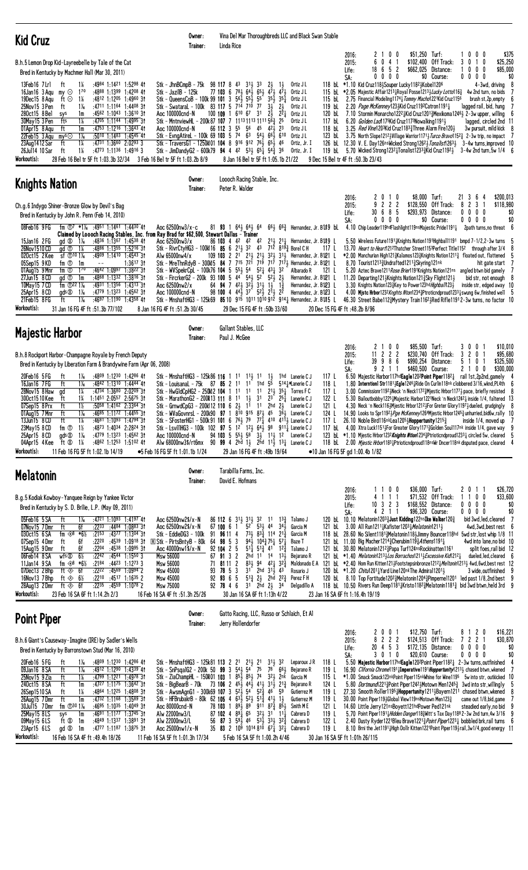| <b>Kid Cruz</b>                                                                                                                                                                                                                                                                                                                                                                                                                                                                                                                                                                                                                                                                                                                                                                                                                                                                                                                                                                                                                                                                                                                                                                                                                                                                                                                                                                                                                                                                                                                                                                                                      | Owner:<br>Trainer:               |                                       | Linda Rice                                                                                                                                                                                                                                              |                                                                                                                                                                                                                                                                                                                             |                                                                                                                                     |                                                                            | Vina Del Mar Thoroughbreds LLC and Black Swan Stable                                                                                                                                                                                                                                                                                                                                                                                     |                                                                                                                                     |                                |                                                                                                                                                                                                                                                                                                                                                                                                                                                                                                                                                                                                                                                                                                                                                                                                                                                                                                                                                                                                                                                                                                                                                                                                                                                                                                                                                                                    |
|----------------------------------------------------------------------------------------------------------------------------------------------------------------------------------------------------------------------------------------------------------------------------------------------------------------------------------------------------------------------------------------------------------------------------------------------------------------------------------------------------------------------------------------------------------------------------------------------------------------------------------------------------------------------------------------------------------------------------------------------------------------------------------------------------------------------------------------------------------------------------------------------------------------------------------------------------------------------------------------------------------------------------------------------------------------------------------------------------------------------------------------------------------------------------------------------------------------------------------------------------------------------------------------------------------------------------------------------------------------------------------------------------------------------------------------------------------------------------------------------------------------------------------------------------------------------------------------------------------------------|----------------------------------|---------------------------------------|---------------------------------------------------------------------------------------------------------------------------------------------------------------------------------------------------------------------------------------------------------|-----------------------------------------------------------------------------------------------------------------------------------------------------------------------------------------------------------------------------------------------------------------------------------------------------------------------------|-------------------------------------------------------------------------------------------------------------------------------------|----------------------------------------------------------------------------|------------------------------------------------------------------------------------------------------------------------------------------------------------------------------------------------------------------------------------------------------------------------------------------------------------------------------------------------------------------------------------------------------------------------------------------|-------------------------------------------------------------------------------------------------------------------------------------|--------------------------------|------------------------------------------------------------------------------------------------------------------------------------------------------------------------------------------------------------------------------------------------------------------------------------------------------------------------------------------------------------------------------------------------------------------------------------------------------------------------------------------------------------------------------------------------------------------------------------------------------------------------------------------------------------------------------------------------------------------------------------------------------------------------------------------------------------------------------------------------------------------------------------------------------------------------------------------------------------------------------------------------------------------------------------------------------------------------------------------------------------------------------------------------------------------------------------------------------------------------------------------------------------------------------------------------------------------------------------------------------------------------------------|
| B.h.5 Lemon Drop Kid-Layreebelle by Tale of the Cat<br>Bred in Kentucky by Machmer Hall (Mar 30, 2011)<br>:4984 1:1421 1:5298 41<br>13Feb16 7Lrl<br>ft<br>$1\%$<br>Stk - JhnBCmpB - 75k 98 117 8 43 313 33<br>16Jan16 3 Agu my $\odot$<br>$1^{70}$<br>:4888 1:1399 1:4208 41<br>Stk - JazilB - 125k<br>Stk - QueensCoB - 100k 99 101 3 $56\frac{1}{2}$ 55 $\frac{1}{2}$<br>ft ⊙<br>1%<br>:4812 1:1205 1:4960 31<br>19Dec15 8 Agu<br>Stk - Swataral - 100k 83 117 5 7 <sup>14</sup> 7 <sup>10</sup> 77<br>25Nov15 3 Pen<br>$1\%$<br>:4711 1:1164 1:4408 31<br>ft<br>$:4562$ 1:1043 1:3610 31<br>280ct15 8 Bel<br>sys<br>1m<br>Aoc 100000cnd-N<br>1%<br>30May15 3 Pen<br>fts<br>$:47^{05}$ 1:1144 1:4995 31<br>Stk - MntnviewHL - 200k 87 107 7 1113 1113 1111 56 $\frac{3}{4}$ 25<br>$:4753$ 1:1216 1:3643 41<br>01Apr15 8 Aqu<br>ft<br>1m<br>Aoc 100000cnd-N<br>$1\frac{1}{6}$<br>22Feb15 3 Agu<br>mys<br>$:50^{10}$ 1:1483 1:4545 41<br>Stk - EvnaAtireL - 100k 69 103 5 74 63 541 661 610<br>1¼<br>Stk - TraversG1 - 1250k01 104 8 916 912 76 $\frac{1}{2}$ 65 $\frac{1}{2}$ 46<br>23Aug1412 Sar<br>ft<br>$:4731$ 1:3660 2:0293 3<br>$1\%$<br>26Jul14 10 Sar<br>ft<br>:4773 1:1136 1:4916 3<br>Stk - JimDandyG2 - 600k79 94 4 42 53 65 $\frac{1}{4}$ 54 $\frac{3}{4}$ 36<br>Workout(s):<br>28 Feb 16 Bel tr 5F ft 1:03.3b 32/34<br>3 Feb 16 Bel tr 5F ft 1:03.2b 8/9                                                                                                                                                                                                                                               |                                  |                                       | 77 103 6 78 64 64 65 47 47<br>100 109 1 610 67 31<br>66 112 3 5 <sup>5</sup> 5 <sup>6</sup> 4 <sup>5</sup> 4 <sup>2</sup> / <sub>2</sub> 2 <sup>3</sup><br>8 Jan 16 Bel tr 5F ft 1:05.1b 21/22                                                          | 55                                                                                                                                                                                                                                                                                                                          | $2\frac{1}{2}$<br>$3\frac{1}{2}$<br>24                                                                                              | $1\frac{1}{2}$<br>$35\frac{1}{2}$ $35\frac{1}{4}$<br>$2\frac{1}{2}$<br>221 | Ortiz J L<br>Ortiz J L<br>Ortiz J L<br>Ortiz J L<br>Ortiz J L<br>Ortiz J L<br>Ortiz J L<br>Ortiz J L<br>Ortiz, Jr. I<br>Ortiz, Jr. I                                                                                                                                                                                                                                                                                                     | 120 bL<br>117 bL<br>118 bL                                                                                                          | 2016:<br>2015:<br>Life:<br>SA: | \$51,250 Turf:<br>\$375<br>2 1 0 0<br>1000<br>6<br>41<br>\$102,400 Off Track:<br>1 <sub>0</sub><br>\$25,250<br>0<br>30<br>$6\quad 5\quad 2$<br>\$662,025 Distance:<br>0 <sub>0</sub><br>0<br>\$85,000<br>18<br>1<br>$0\quad 0\quad 0$<br>\$0 Course:<br>$0\,0\,0\,0$<br>\$0<br>0<br>118 bl *1.10 Kid Cruz118 > Souper Lucky 1182 > Kobel1206<br>$4 - 3wd$ , driving $8$<br>115 bL *2.05 Majestic Affair1213 <sub>4</sub> Royal Posse12134 <i>Lucky Lotto</i> 116 <sub>4</sub> 4w 2nd turn, no bids 7<br>115 bl 2.75 Financial Modeling1174 Tommy Machol 221 Kid Cruz1156<br>brush st,2p,empty<br>119 bl. 2.20 Page McKenney123 } Kid Cruz1192 Catron 1191 <sup>1</sup><br>lagged rail, bid, hung<br>7.10 Stormin Monarcho12221Kid Cruz12013Mexikoma12461 2-3w upper, willing<br>6.20 Golden Lad 175Kid Cruz1173Nowalking 11911<br>lagged, circled 2nd 11<br>3.25 <i>Red Vine</i> 120 <sup>3</sup> Kid Cruz118 <sup>3</sup> Three Alarm Fire120 3<br>3w pursuit, mild kick 8<br>123 bL 3.75 North Slope12123Village Warrior11713 Turco Bravo11523 2-3w trip, no impact 7<br>126 bl. 12.30 V. E. Day126nsWicked Strong126 <sup>21</sup> Jonalist126 <sup>31</sup><br>3-4w turns, improved 10<br>119 bL 5.70 Wicked Strong12321 Tonalist1233 $\frac{3}{4}$ Kid Cruz11921<br>$3 - 4w$ 2nd turn, 5w $1/4 = 6$<br>9 Dec 15 Bel tr 4F ft :50.3b 23/43                                     |
| <b>Knights Nation</b>                                                                                                                                                                                                                                                                                                                                                                                                                                                                                                                                                                                                                                                                                                                                                                                                                                                                                                                                                                                                                                                                                                                                                                                                                                                                                                                                                                                                                                                                                                                                                                                                | Owner:<br>Trainer:               |                                       | Loooch Racing Stable, Inc.<br>Peter R. Walder                                                                                                                                                                                                           |                                                                                                                                                                                                                                                                                                                             |                                                                                                                                     |                                                                            |                                                                                                                                                                                                                                                                                                                                                                                                                                          |                                                                                                                                     |                                |                                                                                                                                                                                                                                                                                                                                                                                                                                                                                                                                                                                                                                                                                                                                                                                                                                                                                                                                                                                                                                                                                                                                                                                                                                                                                                                                                                                    |
| Ch.g.6 Indygo Shiner-Bronze Glow by Devil's Bag<br>Bred in Kentucky by John R. Penn (Feb 14, 2010)<br>fm $\overline{0}$ <sup>7</sup> *1 <sup>/6</sup> :49 <sup>51</sup> 1:14 <sup>61</sup> 1:44 <sup>30</sup> 41<br>08Feb16 9FG<br>Aoc 62500nw3/x-c<br>Claimed by Loooch Racing Stables, Inc. from Ray Brad for \$62,500, Stewart Dallas - Trainer<br>$1\%$<br>:4836 1:1367 1:4538 41<br>Aoc 62500nw3/x<br>15Jan16 2FG<br>gd $\infty$<br>26Nov1510 CD<br>gd <sup>①</sup><br>$1\%$<br>$:4886$ 1:1355 1:5216 31<br>Stk - RivrCtyHG3 - 100k16 85 6 2 <sup>1</sup> / <sub>2</sub> 3 <sup>2</sup> 4 <sup>3</sup> 7 <sup>12</sup> 8 <sup>19</sup> / <sub>4</sub> <sup>2</sup> Borel CH<br>$:4909$ 1:1410 1:4543 31<br>020ct15 2Kee<br>sf $\bigcirc$ 10 1 <sup>%</sup><br>Alw 65000nw4/x<br>Stk - MreThnRdyB - 300K5 84 7 715 721 719 717 7173 Hernandez, Jr. B121 L<br>05Sep15 9KD<br>fm ①<br>$1:3617$ 3t<br>1m<br>$\sim$ $-$<br>$1^{70}$<br>$:4642$ 1:0997 1:3822 31<br>01Aug15 9 Mnr<br>fm ①<br>Stk - WVSpekrCpL - 100k76 104 5 551 54<br>Stk - FircrkerG2 - 200k 93 100 5 44 54 52 52 22<br>27Jun15 8 CD<br>:4868 1:1332 1:3816 31<br>gd ①<br>1m<br>10May 15 7 CD<br>fm $\bigcirc$ 22 1 <sup>%</sup><br>$:4931$ 1:1356 1:4313 31<br>Aoc 62500nw2/x<br>25Apr15 8 CD<br>$\text{qds} \otimes 1\%$<br>:4779 1:1323 1:4562 31<br>Aoc 100000cnd-N<br>$1\%$<br>Stk - MnshaftHG3 - 125k69 85 10 915 1011 1010 912 914 Hernandez, Jr. B105 L<br>21Feb15 8FG<br>$:4697$ 1:1190 1:4358 41<br>ft<br>Workout(s):<br>31 Jan 16 FG 4F ft :51.3b 77/102<br>8 Jan 16 FG 4F ft :51.2b 30/45                                               |                                  |                                       | 81 93 1 64 5 64 5 64<br>64 <b>94</b> 7 42 <sub>2</sub> 32 <sub>2</sub> 31 <sub>2</sub> 1 <sub>2</sub> 1 <sub>3</sub> <sup>2</sup><br>$98$ 100 4 $44\overline{3}$ $37$ $52\overline{3}$ $2\overline{1}$ $2\overline{2}$<br>29 Dec 15 FG 4F ft: 50b 33/60 |                                                                                                                                                                                                                                                                                                                             | $52\frac{1}{4}$ 43 $\frac{1}{4}$ 32                                                                                                 |                                                                            | $66\frac{1}{2}$ 6 <sup>63</sup> / <sub>2</sub> Hernandez, Jr. B 119 bl<br>86 103 4 42 42 42 21 <sup>1</sup> / <sub>2</sub> 21 <sup>1</sup> / <sub>4</sub> Hernandez, Jr. B1J19 L<br>109 103 2 2 <sup>1</sup> 2 <sup>1</sup> 2 <sup>1</sup> 2 <sup>1</sup> 2 <sup>1</sup> 3 <sup>2</sup> 3 <sup>2</sup> 1 <sup>2</sup> Hernandez, Jr. B121 L<br>Albarado R<br>Hernandez, Jr. $B121$ $L$<br>Hernandez, Jr. B123 L<br>Hernandez, Jr. B123 L | 117 L<br>121 L<br>20 Dec 15 FG 4F ft:48.2b 8/96                                                                                     | 2016:<br>2015:<br>Life:<br>SA: | \$200,013<br>0<br>\$8,000 Turf:<br>21 3 6 4<br>2<br>10<br>222<br>\$128,550<br>$\mathbf{3}$<br>9<br>Off Track:<br>82<br>\$118,980<br>-1<br>685<br>Distance:<br>\$0<br>30<br>\$293,973<br>$0\,0\,0\,0$<br>\$0<br>$0\ 0\ 0$<br>0<br>\$0 Course:<br>0000<br>4.10 Chip Leader119hdFlashlight119nsMajestic Pride1191 $\frac{1}{4}$<br>2 path turns, no threat 6<br>5.50 Wireless Future1191 X hights Nation1191 Highball1191 bmpd 7-1/2,2-3w turns<br>13.70 Heart to Heart1212Thatcher Street1153Perfect Title1152 through after 3/4<br>*2.00 Manchurian High1213Kalamos1233Knights Nation12113 floated out, flattened<br>8.70 Tourist1213 $\frac{3}{4}$ Undrafted1211 $\frac{3}{4}$ Skyring121nk<br>hit gate start<br>5.20 Aztec Brave1211 Rose Brier1191 Knights Nation121ns angled btwn bid gamely<br>11.20 Departing 121 Knights Nation 121 <sup>3</sup> Sky Flight 121 3<br>bid str, not enough &<br>3.30 Knights Nation1233 Key to Power123hd Highbal 1233<br>inside str, edged away 10<br>4.00 Mistc Hrbor1232 Knghts Nton1234 3Ptroticndproud12331 swung 6w, finished well 5<br>46.30 Street Babe112 Mystery Train1162 HRed Rifle11912-3w turns, no factor 10                                                                                                                                                                                                                    |
| <b>Majestic Harbor</b>                                                                                                                                                                                                                                                                                                                                                                                                                                                                                                                                                                                                                                                                                                                                                                                                                                                                                                                                                                                                                                                                                                                                                                                                                                                                                                                                                                                                                                                                                                                                                                                               | Owner:<br>Trainer:               |                                       | Gallant Stables, LLC<br>Paul J. McGee                                                                                                                                                                                                                   |                                                                                                                                                                                                                                                                                                                             |                                                                                                                                     |                                                                            |                                                                                                                                                                                                                                                                                                                                                                                                                                          |                                                                                                                                     |                                | 0 <sub>0</sub><br>\$85,500 Turf:<br>21<br>3001<br>\$10,010                                                                                                                                                                                                                                                                                                                                                                                                                                                                                                                                                                                                                                                                                                                                                                                                                                                                                                                                                                                                                                                                                                                                                                                                                                                                                                                         |
| B.h.8 Rockport Harbor-Champagne Royale by French Deputy<br>Bred in Kentucky by Liberation Farm & Brandywine Farm (Apr 06, 2008)<br>Stk - MnshaftHG3 - 125k86 116 1 11 11 11 11<br>20Feb16 5FG<br>ft<br>$1\%$<br>$:4809$ 1:1230 1:4286 41<br>16Jan16 7 FG<br>ft<br>$1\%$<br>:4842 1:1310 1:4444 41<br>Stk - Louisanal - 75k 87 85 2 11 11 1hd 55<br>28Nov15 8 Haw<br>1¼<br>:4734 1:3680 2:0209 31<br>Stk - HwGldCpHG2 - 250M2 104 1 11 11 11 213 351 Torres FC<br>gd<br>1%<br>1:1451 2:0557 2:5675 31<br>Stk - MarathonG2 - 200R13 111 8 11 13 31 23 25 $\frac{1}{4}$ Lanerie C J<br>300ct1510 Kee<br>ft<br>$1\frac{1}{2}$<br>ft<br>$:50^{58}$ 1:4162 2:3364 31<br>Stk - GrnwdCpG3 - 200k112 110 6 $2\frac{1}{2}$ 1 <sup>1</sup> 1 <sup>1</sup> 2hd $2\frac{1}{2}$<br>07Sep15 8 Prx<br>01Aug15 7 Mnr<br>ft<br>:4685 1:1172 1:4455 31<br>$1\%$<br>Stk - WVaGovnrsL - 200k90 97 1 8 <sup>10</sup> 9 <sup>15</sup> 8 <sup>7</sup> 4 <sup>5</sup> 3 <sup>6</sup> 5 Lanerie C J<br>13Jun15 8 CD<br>ft<br>1%<br>:4681 1:1093 1:4794 31<br>Stk - SFosterHG1 - 500k91 101 6 761 79 771 410 4111 Lanerie C J<br>Stk - LsvillHG3 - 100k 102 97 5 1 <sup>2</sup> 12 <sub>3</sub> 64 $\frac{7}{2}$ 98 911 $\frac{7}{4}$ Lanerie CJ<br>23May 15 8 CD<br>fm ①<br>1½<br>:4873 1:4034 2:2824 31<br>$1\%$<br>25Apr15 8 CD<br>gds ®<br>:4779 1:1323 1:4562 31<br>Aoc 100000cnd-N<br>04Apr15 4 Kee<br>ft Ø<br>$1\%$<br>$:4862$ 1:1253 1:5102 41<br>Alw 68000nw3\$/rt6mx 90 99 4 2hd $1\frac{1}{2}$ 2hd $11\frac{1}{2}$ 13 $\frac{1}{4}$ Lanerie CJ<br>Workout(s):<br>11 Feb 16 FG 5F ft 1:02.1b 14/19<br>●5 Feb 16 FG 5F ft 1:01.1b 1/24 |                                  |                                       | $94$ 103 5 $55\frac{1}{2}$ 5 <sup>8</sup><br>29 Jan 16 FG 4F ft : 49b 19/64                                                                                                                                                                             |                                                                                                                                                                                                                                                                                                                             | $1\frac{1}{2}$<br>$3\frac{1}{2}$ 1 <sup>1</sup> / <sub>3</sub> 1 <sup>2</sup>                                                       |                                                                            | 1hd Lanerie CJ<br>514]*Lanerie C J<br>Lanerie C J<br>Lanerie C J                                                                                                                                                                                                                                                                                                                                                                         | 117 L<br>118L<br>117 L<br>122 L<br>121 L<br>124 L<br>117 L                                                                          | 2015:<br>Life:<br>SA:          | \$95,680<br>2 2 2<br>\$230,740 Off Track:<br>3 2 0 1<br>11<br>39 9 8 6<br>\$990,254 Distance:<br>5 1 0<br>\$325,500<br>-1<br>921<br>\$460.500 Course:<br>\$300,000<br>$\overline{1}$<br>2 1 0 0<br>6.50 Majestic Harbor117hdEagle1202Point Piper1182 $\frac{1}{4}$ rail 1st, 2p2nd, gamely<br>1.80 Interntionl Str11813Egle12463Ride On Curlin118nk clobbered 3/16, wknd, PL4th 6<br>3.00 Commissionr1192 Meck 'n Neck1172 mijestic Hrbor1177 pace, briefly resisted 8<br>5.30 Bailoutbobby 1225 Majestic Harbor 122 Meck 'n Neck 1242 mside 1/4, faltered 13<br>4.30 Neck 'n Neck116}Mjestic Hrbor1212}For Greter Glory1197}dueled, grudgingly<br>14.90 Looks to Spr11923 Pge McKenney1264Mjestic Hrbor12453 unhurried, bid6w, rally 10<br>26.10 Noble Bird116nkLea12053Hoppertunity12153<br>inside $1/4$ , moved up 7<br>117 bL 4.00 Xtra Luck1151 For Greater Glory1171 3 Golden Soul117nk inside 1/4, gave way 9<br>123 bL *1.10 Miestic Hrbor1232 Knights Ntion1234 3Ptrioticndproud12331 circled 5w, cleared 5<br>118 bL 2.00 Miestic Hrbor1183 Ptrioticndproud118nsWr Dncer118nk disputed pace, cleared 4<br>•10 Jan 16 FG 5F gd 1:00.4b 1/82                                                                                                                                                                                                                               |
| <b>Melatonin</b>                                                                                                                                                                                                                                                                                                                                                                                                                                                                                                                                                                                                                                                                                                                                                                                                                                                                                                                                                                                                                                                                                                                                                                                                                                                                                                                                                                                                                                                                                                                                                                                                     | Owner:<br>Trainer:               |                                       | Tarabilla Farms, Inc.<br>David E. Hofmans                                                                                                                                                                                                               |                                                                                                                                                                                                                                                                                                                             |                                                                                                                                     |                                                                            |                                                                                                                                                                                                                                                                                                                                                                                                                                          |                                                                                                                                     |                                |                                                                                                                                                                                                                                                                                                                                                                                                                                                                                                                                                                                                                                                                                                                                                                                                                                                                                                                                                                                                                                                                                                                                                                                                                                                                                                                                                                                    |
| B.g.5 Kodiak Kowboy-Yanquee Reign by Yankee Victor<br>Bred in Kentucky by S. D. Brilie, L.P. (May 09, 2011)<br>05Feb16 5 SA<br>:4721 1:1093 1:4197 41<br>ft<br>$1\%$<br>Aoc 62500nw2\$/x-N<br>07Nov15 7Dmr<br>ft<br>6f<br>$:22^{33}$ $:44^{84}$ 1:0883 31<br>Aoc 62500nw2\$/x-N<br>fm $48 * 6\%$<br>030ct15 6 SA<br>$: 21^{53}$ $: 43^{77}$ 1:1304 31<br>Stk - EddieDG3 - 100k<br>07Sep15 4Dmr<br>6f<br>:2220<br>:45 <sup>39</sup> 1:09 <sup>18</sup> 3†<br>R Stk - PirtsBntyB - 80k<br>ft<br>15Aug15 9Dmr<br>ft<br>6f<br>:2204<br>:4538 1:0995 31<br>Aoc 40000nw1\$/x-N<br>Wfs@<br>$6\%$<br>$:22^{42}$ $:45^{44}$ 1:1550 3<br>06Feb14 8 SA<br>Msw 56000<br>fm $\Leftrightarrow$ 8 *6½<br>:2184<br>11Jan14 9 SA<br>$:44^{23}$ 1:12 <sup>73</sup> 3<br>Msw 56000<br>ft $\textcircled{*}$ 6f<br>$:22^{22}$ $:45^{69}$ $1:09^{94}$ 2<br>07Dec13 2Bhp<br><b>Msw 45000</b><br>:2210 :4517 1:1635 2<br>16Nov13 7Bhp<br>ft $\otimes$ 6½<br>Msw 45000<br>28Aug13 2Dmr<br>ft $\otimes$<br>6f<br>$:22^{35}$ $:45^{59}$ 1:1078 2<br>Msw 75000<br>Workout(s):<br>23 Feb 16 SA 6F ft 1:14.2h 2/3<br>16 Feb 16 SA 4F ft :51.3h 25/26                                                                                                                                                                                                                                                                                                                                                                                                                                                                                               | 91<br>64<br>71<br>93<br>92<br>92 | 67 100 6 1<br>92 104 2 5<br>67 91 3 2 | 86 112 6 31 31 31 32<br>96 11 4<br>98 5 3<br>81 11 2<br>78 5 3<br>93 6 5<br>78 4 6<br>30 Jan 16 SA 6F ft 1:13h 4/22                                                                                                                                     | 52<br>$73\frac{1}{2}$<br>$94\frac{1}{2}$ $104\frac{3}{4}$ 75 $\frac{1}{4}$ 57 $\frac{1}{4}$<br>$51\frac{1}{4}$ $51\frac{3}{4}$ $41$ $12\frac{3}{4}$<br>2hd 11 14 131<br>$83\frac{1}{2}$ 94 $42\frac{1}{4}$ 32 $\frac{3}{4}$<br>$31^{\degree}$ 2hd $31\frac{1}{2}$ 43<br>$5^{13}_{4}$ 21 2hd 22 $^{3}_{4}$<br>3 <sup>1</sup> | - 11<br>$53\frac{1}{2}$ 44 $34\frac{1}{2}$<br>$83\frac{3}{4}$ 114 21 $\frac{3}{4}$<br>$2h$ d $21$                                   | $13\frac{3}{2}$<br>-34                                                     | Talamo J<br>Garcia M<br>Garcia M<br>Baze T<br>Talamo J<br>Bejarano R<br>Maldonado E A<br>Rosario J<br>Perez F H<br>Delgadillo A                                                                                                                                                                                                                                                                                                          | 121 bL                                                                                                                              | 2016:<br>2015:<br>Life:<br>SA: | \$36,000 Turf:<br>\$26,720<br>2011<br>1100<br>\$71,532 Off Track:<br>$0\quad0$<br>\$33,600<br>4 1 1 1<br>11<br>3 2 3<br>\$168,552<br>$0\ 0\ 0\ 0$<br>Distance:<br>\$0<br>10<br>\$0<br>4 2 1 1<br>\$96,320 Course:<br>$0\,0\,0\,0$<br>120 bl. 10.10 Melatonin1203 $\frac{3}{4}$ Just Kidding122nsIke Walker120 $\frac{3}{4}$<br>bid 3wd, led, cleared<br>- 7<br>3.00 All Run121 <sup>1</sup> } Kafister 120 <sup>3</sup> } Melatonin 121 <sup>1</sup> }<br>4wd,3wd,bestrest 6<br>118 bL 28.60 No Silent11813Melatonin1181Jimmy Bouncer118hd 5wd str, lost whip 1/8 11<br>121 bl. 11.00 Big Macher 1214 $\frac{3}{4}$ Cherubim 119 $\frac{3}{4}$ Athens1191 $\frac{1}{4}$<br>4wd into lane, no bid 10<br>121 bl 30.80 Melatonin12123Papa Turf124nsRockinatten1161<br>split foes, rail bid 12<br>121 bl *1.40 Melatonin121331os Borrachos12113 Excessive Kid12123<br>dueled, led, cleared 6<br>121 bL *2.40 Hom Run Kitten121}Footstepsinbronze1212} <i>Meltonin</i> 121 <sup>3</sup> } 4wd,6wd,best rest 12<br>120 bl *1.20 <i>Chitu</i> 1201 <sup>1</sup> /Vard Line120nkThe Admiral1201 <sup>1</sup><br>3 wide, outfinished<br>120 bL  8.10 Top Fortitude1202¾Melatonin1204¾Pimperne11201 led past 1/8,2nd best (<br>118 bL 10.50 Rivers Run Deep1181 <sub>4</sub> Kristo1182 <sub>4</sub> Melatonin1181 <sub>4</sub> bid 3wd btwn, held 3rd 9<br>23 Jan 16 SA 6F ft 1:16.4h 19/19 |
| <b>Point Piper</b>                                                                                                                                                                                                                                                                                                                                                                                                                                                                                                                                                                                                                                                                                                                                                                                                                                                                                                                                                                                                                                                                                                                                                                                                                                                                                                                                                                                                                                                                                                                                                                                                   | Owner:<br>Trainer:               |                                       | Jerry Hollendorfer                                                                                                                                                                                                                                      |                                                                                                                                                                                                                                                                                                                             |                                                                                                                                     |                                                                            | Gatto Racing, LLC, Russo or Schlaich, Et Al                                                                                                                                                                                                                                                                                                                                                                                              |                                                                                                                                     |                                |                                                                                                                                                                                                                                                                                                                                                                                                                                                                                                                                                                                                                                                                                                                                                                                                                                                                                                                                                                                                                                                                                                                                                                                                                                                                                                                                                                                    |
| B.h.6 Giant's Causeway-Imagine (IRE) by Sadler's Wells<br>Bred in Kentucky by Barronstown Stud (Mar 16, 2010)<br>Stk - MnshaftHG3 - 125k81 113 2 21 213 21<br>20Feb16 5FG<br>:4809 1:1230 1:4286 41<br>ft<br>$1\%$<br>$1\frac{1}{16}$<br>Stk - SnPsgalG2 - 200k 50 99 3 543 54<br>09Jan16 8 SA<br>ft<br>:4912 1:1290 1:4339 41<br>Stk - ZiaChampHL - 150k01 103 1 $85\frac{1}{2}$ $85\frac{1}{2}$<br>25Nov15 9 Zia<br>ft<br>1%<br>:4799 1:1221 1:4978 31<br>240ct15 8 SA<br>ft<br>:4727 1:1175 1:3642 31<br>Stk - BigBearB - 70k 73 106 2 45 $\frac{1}{2}$ 44 $\frac{1}{2}$<br>1m<br>Stk - AwsmAgnG1 - 300k69 107 3 52} 54<br>26Sep1510SA<br>ft<br>1%<br>:4864 1:1225 1:4808 31<br>Stk - HFBrubakrB - 80k 62 105 4 63 $\frac{1}{2}$ 52 $\frac{1}{2}$ 51 $\frac{3}{4}$ 41 $\frac{1}{2}$ 1 $\frac{1}{2}$<br>26Aug15 7Dmr<br>ft<br>1m<br>$:4732$ 1:1168 1:3589 31<br>fm $\Phi$ <sup>30</sup> 1 <sup>%</sup><br>:4695 1:1035 1:4049 31<br>30Ju115 7Dmr<br>Aoc 80000cnd-N<br>$:4691$ 1:1177 1:3745 31<br>25May15 8LS<br>sys<br>1m<br>Alw 22000nw3/L<br>:4849 1:1337 1:3891 31<br>09May15 6LS<br>ft Ø<br>1m<br>Alw 22000nw3/L<br>23Apr15 6LS<br>:4777 1:1187 1:3875 31<br>Aoc 25000nw1/x-N<br>gd $\infty$<br>1m<br>Workout(s):<br>16 Feb 16 SA 4F ft: 49.4h 18/26<br>11 Feb 16 SA 5F ft 1:01.3h 17/34                                                                                                                                                                                                                                                                                                                      |                                  |                                       | 78 103 1 $89\frac{1}{2}$ $89^{\degree}$ 911 $87\frac{3}{4}$ $85\frac{1}{2}$<br>$87$ 102 4 $89\overline{1}$ 6 <sup>5</sup><br>56 87 3 59 $\frac{1}{2}$ 46 53 $\frac{1}{2}$ 33 $\frac{1}{2}$ 32 $\frac{3}{4}$<br>5 Feb 16 SA 5F ft 1:00.2h 4/46           | 75<br>74                                                                                                                                                                                                                                                                                                                    | $31\frac{1}{2}$ 32<br>$41\frac{1}{2}$ $31\frac{1}{2}$ $21\frac{3}{4}$<br>$52\frac{3}{4}$ 46<br>$32\frac{1}{2}$ $31$ $11\frac{1}{4}$ | 78 661<br>321 2nk<br>-59                                                   | Leparoux JR<br>Bejarano R<br>Garcia M<br>Bejarano R<br>Gutierrez M<br><b>Gutierrez M</b><br>Smith M E<br>Cabrera D<br>Cabrera D<br>35 83 2 109 1014 810 671 321 Cabrera D                                                                                                                                                                                                                                                                | 118L<br>119 L<br>115 L<br>124 L<br>119 L<br>119 L<br>121 L<br>119 L<br>122 L<br>119 <sub>L</sub><br>30 Jan 16 SA 5F ft 1:01h 26/115 | 2016:<br>2015:<br>Life:<br>SA: | 0 <sub>1</sub><br>\$12,750 Turf:<br>8 1 2 0<br>\$16,221<br>2<br>0<br>222<br>\$124,513 Off Track:<br>7 <sub>2</sub><br>2 <sub>1</sub><br>\$30,870<br>8<br>20<br>453<br>\$172,135 Distance:<br>$0\,0\,0\,0$<br>\$0<br>\$0<br>3010<br>\$20,610 Course:<br>0000<br>5.50 Majestic Harbor117hdEagle1202Point Piper11821 2-3w turns, outfinished<br>16.90 <i>Clifornia Chrome</i> 1191 <sub>2</sub> 1 Imperative1191 Hoppertunity1213 <sub>3</sub> chased btwn, wkened 7<br>*1.00 Smack Smack123nkPoint Piper115nkWhine for Wine1195 5w into str, outkicked 10<br>5.80 <i>Dortmund</i> 122 <sup>13</sup> / <sub>4</sub> Point Piper124 <sup>2</sup> Motown Men124 <sup>53</sup> / <sub>4</sub> 3wd into str, willingly<br>27.30 Smooth Roller11954Hoppertunity1211 bayern1211 chased btwn, wkened<br>30.00 Point Piper1194Global View119nsMotown Men1233<br>came out 1/8, bid, game<br>14.60 Little Jerry121nsBoyett121hdPower Ped121nk<br>steadied early,no bid<br>5.70 Point Piper11914 Hidden Danger1184 Witt's Tax Day1188 2-3w 2nd turn, 4w 3/16<br>2.40 Dusty Ryder1221Bleu Brave1221 $\frac{3}{4}$ Point Piper1223 $\frac{1}{4}$ bobbled brk, rail turns (<br>8.10 Brni the Jet11911High Dollr Kitten1221Point Piper1191 rail, 3w1/4, good energy 11                                                                                                                               |